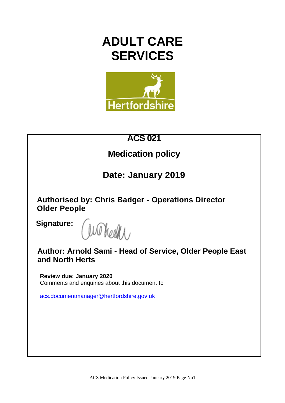## **ADULT CARE SERVICES**



# **ACS 021 Medication policy Date: January 2019 Authorised by: Chris Badger - Operations Director Older People Signature:** Wo heally **Author: Arnold Sami - Head of Service, Older People East and North Herts Review due: January 2020** Comments and enquiries about this document to [acs.documentmanager@hertfordshire.gov.uk](mailto:acs.documentmanager@hertfordshire.gov.uk)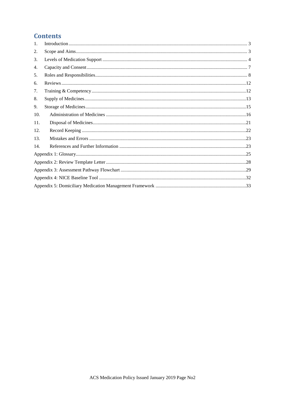## **Contents**

| 1.  |  |
|-----|--|
| 2.  |  |
| 3.  |  |
| 4.  |  |
| 5.  |  |
| 6.  |  |
| 7.  |  |
| 8.  |  |
| 9.  |  |
| 10. |  |
| 11. |  |
| 12. |  |
| 13. |  |
| 14. |  |
|     |  |
|     |  |
|     |  |
|     |  |
|     |  |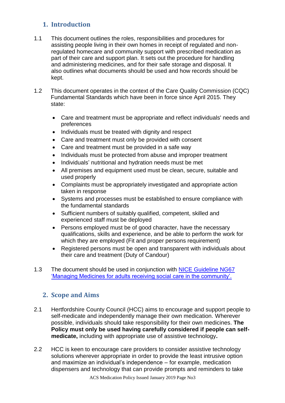## <span id="page-2-0"></span>**1. Introduction**

- 1.1 This document outlines the roles, responsibilities and procedures for assisting people living in their own homes in receipt of regulated and nonregulated homecare and community support with prescribed medication as part of their care and support plan. It sets out the procedure for handling and administering medicines, and for their safe storage and disposal. It also outlines what documents should be used and how records should be kept.
- 1.2 This document operates in the context of the Care Quality Commission (CQC) Fundamental Standards which have been in force since April 2015. They state:
	- Care and treatment must be appropriate and reflect individuals' needs and preferences
	- Individuals must be treated with dignity and respect
	- Care and treatment must only be provided with consent
	- Care and treatment must be provided in a safe way
	- Individuals must be protected from abuse and improper treatment
	- Individuals' nutritional and hydration needs must be met
	- All premises and equipment used must be clean, secure, suitable and used properly
	- Complaints must be appropriately investigated and appropriate action taken in response
	- Systems and processes must be established to ensure compliance with the fundamental standards
	- Sufficient numbers of suitably qualified, competent, skilled and experienced staff must be deployed
	- Persons employed must be of good character, have the necessary qualifications, skills and experience, and be able to perform the work for which they are employed (Fit and proper persons requirement)
	- Registered persons must be open and transparent with individuals about their care and treatment (Duty of Candour)
- <span id="page-2-1"></span>1.3 The document should be used in conjunction with [NICE Guideline](https://www.nice.org.uk/guidance/ng67) NG67 ['Managing Medicines for adults receiving social care in the community'.](https://www.nice.org.uk/guidance/ng67)

## **2. Scope and Aims**

- 2.1 Hertfordshire County Council (HCC) aims to encourage and support people to self-medicate and independently manage their own medication. Wherever possible, individuals should take responsibility for their own medicines. **The Policy must only be used having carefully considered if people can selfmedicate,** including with appropriate use of assistive technology**.**
- 2.2 HCC is keen to encourage care providers to consider assistive technology solutions wherever appropriate in order to provide the least intrusive option and maximize an individual's independence – for example, medication dispensers and technology that can provide prompts and reminders to take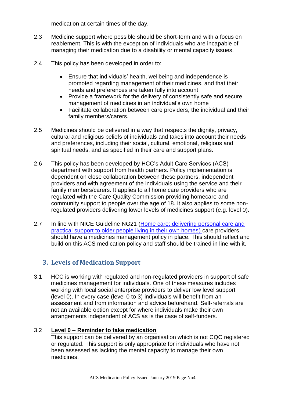medication at certain times of the day.

- 2.3 Medicine support where possible should be short-term and with a focus on reablement. This is with the exception of individuals who are incapable of managing their medication due to a disability or mental capacity issues.
- 2.4 This policy has been developed in order to:
	- Ensure that individuals' health, wellbeing and independence is promoted regarding management of their medicines, and that their needs and preferences are taken fully into account
	- Provide a framework for the delivery of consistently safe and secure management of medicines in an individual's own home
	- Facilitate collaboration between care providers, the individual and their family members/carers.
- 2.5 Medicines should be delivered in a way that respects the dignity, privacy, cultural and religious beliefs of individuals and takes into account their needs and preferences, including their social, cultural, emotional, religious and spiritual needs, and as specified in their care and support plans.
- 2.6 This policy has been developed by HCC's Adult Care Services (ACS) department with support from health partners. Policy implementation is dependent on close collaboration between these partners, independent providers and with agreement of the individuals using the service and their family members/carers. It applies to all home care providers who are regulated with the Care Quality Commission providing homecare and community support to people over the age of 18. It also applies to some nonregulated providers delivering lower levels of medicines support (e.g. level 0).
- 2.7 In line with NICE Guideline NG21 (Home care: delivering personal care and [practical support to older people living in their own homes\)](https://www.nice.org.uk/guidance/ng21) care providers should have a medicines management policy in place. This should reflect and build on this ACS medication policy and staff should be trained in line with it.

## <span id="page-3-0"></span>**3. Levels of Medication Support**

3.1 HCC is working with regulated and non-regulated providers in support of safe medicines management for individuals. One of these measures includes working with local social enterprise providers to deliver low level support (level  $\overline{0}$ ). In every case (level  $\overline{0}$  to 3) individuals will benefit from an assessment and from information and advice beforehand. Self-referrals are not an available option except for where individuals make their own arrangements independent of ACS as is the case of self-funders.

#### 3.2 **Level 0 – Reminder to take medication**

This support can be delivered by an organisation which is not CQC registered or regulated. This support is only appropriate for individuals who have not been assessed as lacking the mental capacity to manage their own medicines.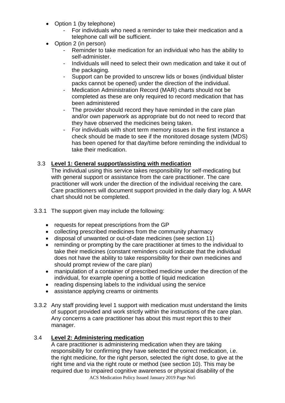- Option 1 (by telephone)
	- For individuals who need a reminder to take their medication and a telephone call will be sufficient.
- Option 2 (in person)
	- Reminder to take medication for an individual who has the ability to self-administer.
	- Individuals will need to select their own medication and take it out of the packaging.
	- Support can be provided to unscrew lids or boxes (individual blister packs cannot be opened) under the direction of the individual.
	- Medication Administration Record (MAR) charts should not be completed as these are only required to record medication that has been administered
	- The provider should record they have reminded in the care plan and/or own paperwork as appropriate but do not need to record that they have observed the medicines being taken.
	- For individuals with short term memory issues in the first instance a check should be made to see if the monitored dosage system (MDS) has been opened for that day/time before reminding the individual to take their medication.

## 3.3 **Level 1: General support/assisting with medication**

The individual using this service takes responsibility for self-medicating but with general support or assistance from the care practitioner. The care practitioner will work under the direction of the individual receiving the care. Care practitioners will document support provided in the daily diary log. A MAR chart should not be completed.

- 3.3.1 The support given may include the following:
	- requests for repeat prescriptions from the GP
	- collecting prescribed medicines from the community pharmacy
	- disposal of unwanted or out-of-date medicines (see section 11)
	- reminding or prompting by the care practitioner at times to the individual to take their medicines (constant reminders could indicate that the individual does not have the ability to take responsibility for their own medicines and should prompt review of the care plan)
	- manipulation of a container of prescribed medicine under the direction of the individual, for example opening a bottle of liquid medication
	- reading dispensing labels to the individual using the service
	- assistance applying creams or ointments
- 3.3.2 Any staff providing level 1 support with medication must understand the limits of support provided and work strictly within the instructions of the care plan. Any concerns a care practitioner has about this must report this to their manager.

#### 3.4 **Level 2: Administering medication**

ACS Medication Policy Issued January 2019 Page No5 A care practitioner is administering medication when they are taking responsibility for confirming they have selected the correct medication, i.e. the right medicine, for the right person, selected the right dose, to give at the right time and via the right route or method (see section 10). This may be required due to impaired cognitive awareness or physical disability of the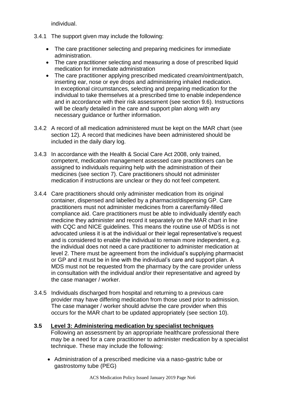individual.

- 3.4.1 The support given may include the following:
	- The care practitioner selecting and preparing medicines for immediate administration.
	- The care practitioner selecting and measuring a dose of prescribed liquid medication for immediate administration
	- The care practitioner applying prescribed medicated cream/ointment/patch. inserting ear, nose or eye drops and administering inhaled medication. In exceptional circumstances, selecting and preparing medication for the individual to take themselves at a prescribed time to enable independence and in accordance with their risk assessment (see section 9.6). Instructions will be clearly detailed in the care and support plan along with any necessary guidance or further information.
- 3.4.2 A record of all medication administered must be kept on the MAR chart (see section 12). A record that medicines have been administered should be included in the daily diary log.
- 3.4.3 In accordance with the Health & Social Care Act 2008, only trained, competent, medication management assessed care practitioners can be assigned to individuals requiring help with the administration of their medicines (see section 7). Care practitioners should not administer medication if instructions are unclear or they do not feel competent.
- 3.4.4 Care practitioners should only administer medication from its original container, dispensed and labelled by a pharmacist/dispensing GP. Care practitioners must not administer medicines from a carer/family-filled compliance aid. Care practitioners must be able to individually identify each medicine they administer and record it separately on the MAR chart in line with CQC and NICE guidelines. This means the routine use of MDSs is not advocated unless it is at the individual or their legal representative's request and is considered to enable the individual to remain more independent, e.g. the individual does not need a care practitioner to administer medication at level 2. There must be agreement from the individual's supplying pharmacist or GP and it must be in line with the individual's care and support plan. A MDS must not be requested from the pharmacy by the care provider unless in consultation with the individual and/or their representative and agreed by the case manager / worker.
- 3.4.5 Individuals discharged from hospital and returning to a previous care provider may have differing medication from those used prior to admission. The case manager / worker should advise the care provider when this occurs for the MAR chart to be updated appropriately (see section 10).

#### **3.5 Level 3: Administering medication by specialist techniques** Following an assessment by an appropriate healthcare professional there may be a need for a care practitioner to administer medication by a specialist technique. These may include the following:

 Administration of a prescribed medicine via a naso-gastric tube or gastrostomy tube (PEG)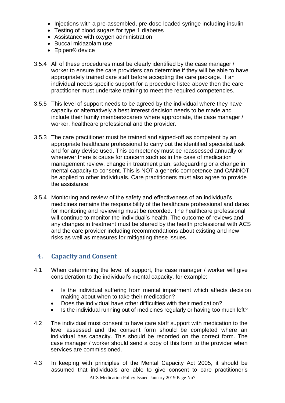- Injections with a pre-assembled, pre-dose loaded syringe including insulin
- Testing of blood sugars for type 1 diabetes
- Assistance with oxygen administration
- Buccal midazolam use
- Epipen® device
- 3.5.4 All of these procedures must be clearly identified by the case manager / worker to ensure the care providers can determine if they will be able to have appropriately trained care staff before accepting the care package. If an individual needs specific support for a procedure listed above then the care practitioner must undertake training to meet the required competencies.
- 3.5.5 This level of support needs to be agreed by the individual where they have capacity or alternatively a best interest decision needs to be made and include their family members/carers where appropriate, the case manager / worker, healthcare professional and the provider.
- 3.5.3 The care practitioner must be trained and signed-off as competent by an appropriate healthcare professional to carry out the identified specialist task and for any devise used. This competency must be reassessed annually or whenever there is cause for concern such as in the case of medication management review, change in treatment plan, safeguarding or a change in mental capacity to consent. This is NOT a generic competence and CANNOT be applied to other individuals. Care practitioners must also agree to provide the assistance.
- 3.5.4 Monitoring and review of the safety and effectiveness of an individual's medicines remains the responsibility of the healthcare professional and dates for monitoring and reviewing must be recorded. The healthcare professional will continue to monitor the individual's health. The outcome of reviews and any changes in treatment must be shared by the health professional with ACS and the care provider including recommendations about existing and new risks as well as measures for mitigating these issues.

## <span id="page-6-0"></span>**4. Capacity and Consent**

- 4.1 When determining the level of support, the case manager / worker will give consideration to the individual's mental capacity, for example:
	- Is the individual suffering from mental impairment which affects decision making about when to take their medication?
	- Does the individual have other difficulties with their medication?
	- Is the individual running out of medicines regularly or having too much left?
- 4.2 The individual must consent to have care staff support with medication to the level assessed and the consent form should be completed where an individual has capacity. This should be recorded on the correct form. The case manager / worker should send a copy of this form to the provider when services are commissioned.
- 4.3 In keeping with principles of the Mental Capacity Act 2005, it should be assumed that individuals are able to give consent to care practitioner's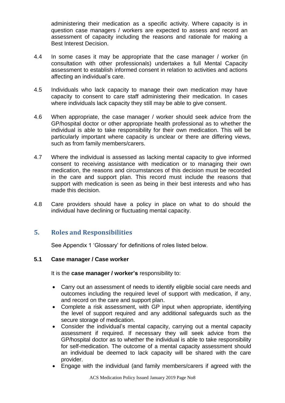administering their medication as a specific activity. Where capacity is in question case managers / workers are expected to assess and record an assessment of capacity including the reasons and rationale for making a Best Interest Decision.

- 4.4 In some cases it may be appropriate that the case manager / worker (in consultation with other professionals) undertakes a full Mental Capacity assessment to establish informed consent in relation to activities and actions affecting an individual's care.
- 4.5 Individuals who lack capacity to manage their own medication may have capacity to consent to care staff administering their medication. In cases where individuals lack capacity they still may be able to give consent.
- 4.6 When appropriate, the case manager / worker should seek advice from the GP/hospital doctor or other appropriate health professional as to whether the individual is able to take responsibility for their own medication. This will be particularly important where capacity is unclear or there are differing views, such as from family members/carers.
- 4.7 Where the individual is assessed as lacking mental capacity to give informed consent to receiving assistance with medication or to managing their own medication, the reasons and circumstances of this decision must be recorded in the care and support plan. This record must include the reasons that support with medication is seen as being in their best interests and who has made this decision.
- 4.8 Care providers should have a policy in place on what to do should the individual have declining or fluctuating mental capacity.

## <span id="page-7-0"></span>**5. Roles and Responsibilities**

See Appendix 1 'Glossary' for definitions of roles listed below.

#### **5.1 Case manager / Case worker**

It is the **case manager / worker's** responsibility to:

- Carry out an assessment of needs to identify eligible social care needs and outcomes including the required level of support with medication, if any, and record on the care and support plan.
- Complete a risk assessment, with GP input when appropriate, identifying the level of support required and any additional safeguards such as the secure storage of medication.
- Consider the individual's mental capacity, carrying out a mental capacity assessment if required. If necessary they will seek advice from the GP/hospital doctor as to whether the individual is able to take responsibility for self-medication. The outcome of a mental capacity assessment should an individual be deemed to lack capacity will be shared with the care provider.
- Engage with the individual (and family members/carers if agreed with the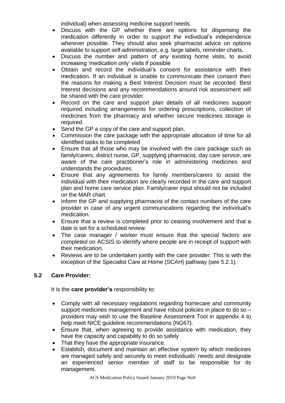individual) when assessing medicine support needs.

- Discuss with the GP whether there are options for dispensing the medication differently in order to support the individual's independence wherever possible. They should also seek pharmacist advice on options available to support self-administration, e.g. large labels, reminder charts.
- Discuss the number and pattern of any existing home visits, to avoid increasing 'medication only' visits if possible
- Obtain and record the individual's consent for assistance with their medication. If an individual is unable to communicate their consent then the reasons for making a Best Interest Decision must be recorded. Best Interest decisions and any recommendations around risk assessment will be shared with the care provider.
- Record on the care and support plan details of all medicines support required including arrangements for ordering prescriptions, collection of medicines from the pharmacy and whether secure medicines storage is required.
- Send the GP a copy of the care and support plan.
- Commission the care package with the appropriate allocation of time for all identified tasks to be completed
- Ensure that all those who may be involved with the care package such as family/carers, district nurse, GP, supplying pharmacist, day care service, are aware of the care practitioner's role in administering medicines and understands the procedures.
- Ensure that any agreements for family members/carers to assist the individual with their medication are clearly recorded in the care and support plan and home care service plan. Family/carer input should not be included on the MAR chart.
- Inform the GP and supplying pharmacist of the contact numbers of the care provider in case of any urgent communications regarding the individual's medication.
- Ensure that a review is completed prior to ceasing involvement and that a date is set for a scheduled review.
- The case manager / worker must ensure that the special factors are completed on ACSIS to identify where people are in receipt of support with their medication.
- Reviews are to be undertaken jointly with the care provider. This is with the exception of the Specialist Care at Home (SCAH) pathway (see 5.2.1).

#### **5.2 Care Provider:**

It is the **care provider's** responsibility to:

- Comply with all necessary regulations regarding homecare and community support medicines management and have robust policies in place to do so – providers may wish to use the Baseline Assessment Tool in appendix 4 to help meet NICE guideline recommendations (NG67).
- Ensure that, when agreeing to provide assistance with medication, they have the capacity and capability to do so safely
- That they have the appropriate insurance.
- Establish, document and maintain an effective system by which medicines are managed safely and securely to meet individuals' needs and designate an experienced senior member of staff to be responsible for its management.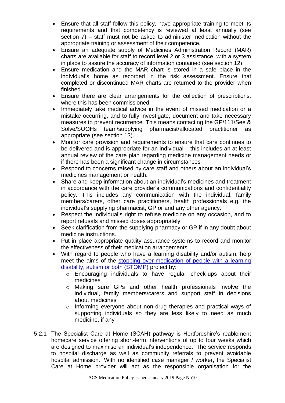- Ensure that all staff follow this policy, have appropriate training to meet its requirements and that competency is reviewed at least annually (see section 7) – staff must not be asked to administer medication without the appropriate training or assessment of their competence.
- Ensure an adequate supply of Medicines Administration Record (MAR) charts are available for staff to record level 2 or 3 assistance, with a system in place to assure the accuracy of information contained (see section 12)
- Ensure medication and the MAR chart is stored in a safe place in the individual's home as recorded in the risk assessment. Ensure that completed or discontinued MAR charts are returned to the provider when finished.
- Ensure there are clear arrangements for the collection of prescriptions, where this has been commissioned.
- Immediately take medical advice in the event of missed medication or a mistake occurring, and to fully investigate, document and take necessary measures to prevent recurrence. This means contacting the GP/111/See & Solve/SOOHs team/supplying pharmacist/allocated practitioner as appropriate (see section 13).
- Monitor care provision and requirements to ensure that care continues to be delivered and is appropriate for an individual – this includes an at least annual review of the care plan regarding medicine management needs or if there has been a significant change in circumstances
- Respond to concerns raised by care staff and others about an individual's medicines management or health.
- Share and keep information about an individual's medicines and treatment in accordance with the care provider's communications and confidentiality policy. This includes any communication with the individual, family members/carers, other care practitioners, health professionals e.g. the individual's supplying pharmacist, GP or and any other agency.
- Respect the individual's right to refuse medicine on any occasion, and to report refusals and missed doses appropriately.
- Seek clarification from the supplying pharmacy or GP if in any doubt about medicine instructions.
- Put in place appropriate quality assurance systems to record and monitor the effectiveness of their medication arrangements.
- With regard to people who have a learning disability and/or autism, help meet the aims of the stopping over-medication of people with a learning [disability, autism or both \(STOMP\)](https://www.england.nhs.uk/learning-disabilities/improving-health/stomp/) project by:
	- o Encouraging individuals to have regular check-ups about their medicines
	- o Making sure GPs and other health professionals involve the individual, family members/carers and support staff in decisions about medicines
	- o Informing everyone about non-drug therapies and practical ways of supporting individuals so they are less likely to need as much medicine, if any
- 5.2.1 The Specialist Care at Home (SCAH) pathway is Hertfordshire's reablement homecare service offering short-term interventions of up to four weeks which are designed to maximise an individual's independence. The service responds to hospital discharge as well as community referrals to prevent avoidable hospital admission. With no identified case manager / worker, the Specialist Care at Home provider will act as the responsible organisation for the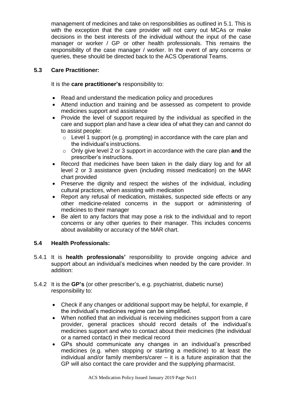management of medicines and take on responsibilities as outlined in 5.1. This is with the exception that the care provider will not carry out MCAs or make decisions in the best interests of the individual without the input of the case manager or worker / GP or other health professionals. This remains the responsibility of the case manager / worker. In the event of any concerns or queries, these should be directed back to the ACS Operational Teams.

### **5.3 Care Practitioner:**

It is the **care practitioner's** responsibility to:

- Read and understand the medication policy and procedures
- Attend induction and training and be assessed as competent to provide medicines support and assistance
- Provide the level of support required by the individual as specified in the care and support plan and have a clear idea of what they can and cannot do to assist people:
	- $\circ$  Level 1 support (e.g. prompting) in accordance with the care plan and the individual's instructions.
	- o Only give level 2 or 3 support in accordance with the care plan **and** the prescriber's instructions.
- Record that medicines have been taken in the daily diary log and for all level 2 or 3 assistance given (including missed medication) on the MAR chart provided
- Preserve the dignity and respect the wishes of the individual, including cultural practices, when assisting with medication
- Report any refusal of medication, mistakes, suspected side effects or any other medicine-related concerns in the support or administering of medicines to their manager
- Be alert to any factors that may pose a risk to the individual and to report concerns or any other queries to their manager. This includes concerns about availability or accuracy of the MAR chart.

#### **5.4 Health Professionals:**

- 5.4.1 It is **health professionals'** responsibility to provide ongoing advice and support about an individual's medicines when needed by the care provider. In addition:
- 5.4.2 It is the **GP's** (or other prescriber's, e.g. psychiatrist, diabetic nurse) responsibility to:
	- Check if any changes or additional support may be helpful, for example, if the individual's medicines regime can be simplified.
	- When notified that an individual is receiving medicines support from a care provider, general practices should record details of the individual's medicines support and who to contact about their medicines (the individual or a named contact) in their medical record
	- GPs should communicate any changes in an individual's prescribed medicines (e.g. when stopping or starting a medicine) to at least the individual and/or family members/carer – it is a future aspiration that the GP will also contact the care provider and the supplying pharmacist.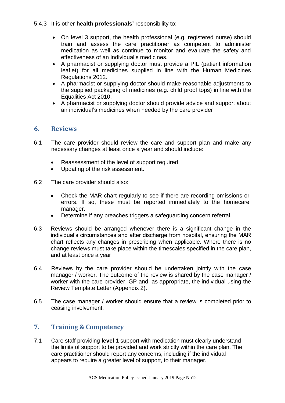#### 5.4.3 It is other **health professionals'** responsibility to:

- On level 3 support, the health professional (e.g. registered nurse) should train and assess the care practitioner as competent to administer medication as well as continue to monitor and evaluate the safety and effectiveness of an individual's medicines.
- A pharmacist or supplying doctor must provide a PIL (patient information leaflet) for all medicines supplied in line with the Human Medicines Regulations 2012.
- A pharmacist or supplying doctor should make reasonable adjustments to the supplied packaging of medicines (e.g. child proof tops) in line with the Equalities Act 2010.
- A pharmacist or supplying doctor should provide advice and support about an individual's medicines when needed by the care provider

## <span id="page-11-0"></span>**6. Reviews**

- 6.1 The care provider should review the care and support plan and make any necessary changes at least once a year and should include:
	- Reassessment of the level of support required.
	- Updating of the risk assessment.
- 6.2 The care provider should also:
	- Check the MAR chart regularly to see if there are recording omissions or errors. If so, these must be reported immediately to the homecare manager.
	- Determine if any breaches triggers a safeguarding concern referral.
- 6.3 Reviews should be arranged whenever there is a significant change in the individual's circumstances and after discharge from hospital, ensuring the MAR chart reflects any changes in prescribing when applicable. Where there is no change reviews must take place within the timescales specified in the care plan, and at least once a year
- 6.4 Reviews by the care provider should be undertaken jointly with the case manager / worker. The outcome of the review is shared by the case manager / worker with the care provider, GP and, as appropriate, the individual using the Review Template Letter (Appendix 2).
- 6.5 The case manager / worker should ensure that a review is completed prior to ceasing involvement.

## <span id="page-11-1"></span>**7. Training & Competency**

7.1 Care staff providing **level 1** support with medication must clearly understand the limits of support to be provided and work strictly within the care plan. The care practitioner should report any concerns, including if the individual appears to require a greater level of support, to their manager.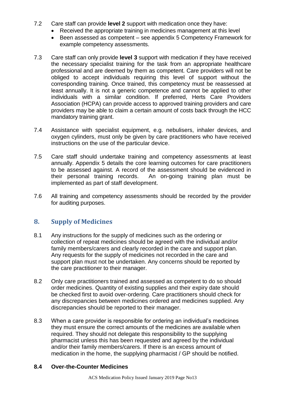- 7.2 Care staff can provide **level 2** support with medication once they have:
	- Received the appropriate training in medicines management at this level
	- Been assessed as competent see appendix 5 Competency Framework for example competency assessments.
- 7.3 Care staff can only provide **level 3** support with medication if they have received the necessary specialist training for the task from an appropriate healthcare professional and are deemed by them as competent. Care providers will not be obliged to accept individuals requiring this level of support without the corresponding training. Once trained, this competency must be reassessed at least annually. It is not a generic competence and cannot be applied to other individuals with a similar condition. If preferred, Herts Care Providers Association (HCPA) can provide access to approved training providers and care providers may be able to claim a certain amount of costs back through the HCC mandatory training grant.
- 7.4 Assistance with specialist equipment, e.g. nebulisers, inhaler devices, and oxygen cylinders, must only be given by care practitioners who have received instructions on the use of the particular device.
- 7.5 Care staff should undertake training and competency assessments at least annually. Appendix 5 details the core learning outcomes for care practitioners to be assessed against. A record of the assessment should be evidenced in their personal training records. An on-going training plan must be implemented as part of staff development.
- 7.6 All training and competency assessments should be recorded by the provider for auditing purposes.

## <span id="page-12-0"></span>**8. Supply of Medicines**

- 8.1 Any instructions for the supply of medicines such as the ordering or collection of repeat medicines should be agreed with the individual and/or family members/carers and clearly recorded in the care and support plan. Any requests for the supply of medicines not recorded in the care and support plan must not be undertaken. Any concerns should be reported by the care practitioner to their manager.
- 8.2 Only care practitioners trained and assessed as competent to do so should order medicines. Quantity of existing supplies and their expiry date should be checked first to avoid over-ordering. Care practitioners should check for any discrepancies between medicines ordered and medicines supplied. Any discrepancies should be reported to their manager.
- 8.3 When a care provider is responsible for ordering an individual's medicines they must ensure the correct amounts of the medicines are available when required. They should not delegate this responsibility to the supplying pharmacist unless this has been requested and agreed by the individual and/or their family members/carers. If there is an excess amount of medication in the home, the supplying pharmacist / GP should be notified.

#### **8.4 Over-the-Counter Medicines**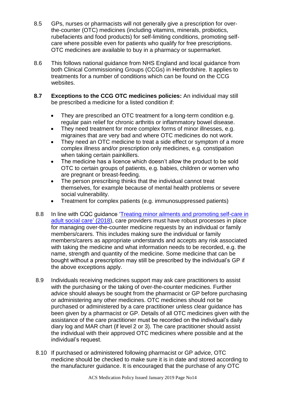- 8.5 GPs, nurses or pharmacists will not generally give a prescription for overthe-counter (OTC) medicines (including vitamins, minerals, probiotics, rubefacients and food products) for self-limiting conditions, promoting selfcare where possible even for patients who qualify for free prescriptions. OTC medicines are available to buy in a pharmacy or supermarket.
- 8.6 This follows national guidance from NHS England and local guidance from both Clinical Commissioning Groups (CCGs) in Hertfordshire. It applies to treatments for a number of conditions which can be found on the CCG websites.
- **8.7 Exceptions to the CCG OTC medicines policies:** An individual may still be prescribed a medicine for a listed condition if:
	- They are prescribed an OTC treatment for a long-term condition e.g. regular pain relief for chronic arthritis or inflammatory bowel disease.
	- They need treatment for more complex forms of minor illnesses, e.g. migraines that are very bad and where OTC medicines do not work.
	- They need an OTC medicine to treat a side effect or symptom of a more complex illness and/or prescription only medicines, e.g. constipation when taking certain painkillers.
	- The medicine has a licence which doesn't allow the product to be sold OTC to certain groups of patients, e.g. babies, children or women who are pregnant or breast-feeding.
	- The person prescribing thinks that the individual cannot treat themselves, for example because of mental health problems or severe social vulnerability.
	- Treatment for complex patients (e.g. immunosuppressed patients)
- 8.8 In line with CQC guidance ['Treating minor ailments and promoting self-care in](https://www.cqc.org.uk/guidance-providers/adult-social-care/treating-minor-ailments-promoting-self-care-adult-social-care)  [adult social care'](https://www.cqc.org.uk/guidance-providers/adult-social-care/treating-minor-ailments-promoting-self-care-adult-social-care) (2018), care providers must have robust processes in place for managing over-the-counter medicine requests by an individual or family members/carers. This includes making sure the individual or family members/carers as appropriate understands and accepts any risk associated with taking the medicine and what information needs to be recorded, e.g. the name, strength and quantity of the medicine. Some medicine that can be bought without a prescription may still be prescribed by the individual's GP if the above exceptions apply.
- 8.9 Individuals receiving medicines support may ask care practitioners to assist with the purchasing or the taking of over-the-counter medicines. Further advice should always be sought from the pharmacist or GP before purchasing or administering any other medicines. OTC medicines should not be purchased or administered by a care practitioner unless clear guidance has been given by a pharmacist or GP. Details of all OTC medicines given with the assistance of the care practitioner must be recorded on the individual's daily diary log and MAR chart (if level 2 or 3). The care practitioner should assist the individual with their approved OTC medicines where possible and at the individual's request.
- 8.10 If purchased or administered following pharmacist or GP advice, OTC medicine should be checked to make sure it is in date and stored according to the manufacturer guidance. It is encouraged that the purchase of any OTC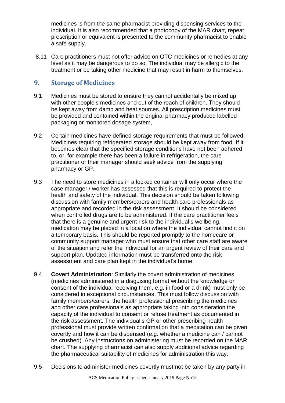medicines is from the same pharmacist providing dispensing services to the individual. It is also recommended that a photocopy of the MAR chart, repeat prescription or equivalent is presented to the community pharmacist to enable a safe supply.

8.11 Care practitioners must not offer advice on OTC medicines or remedies at any level as it may be dangerous to do so. The individual may be allergic to the treatment or be taking other medicine that may result in harm to themselves.

## <span id="page-14-0"></span>**9. Storage of Medicines**

- 9.1 Medicines must be stored to ensure they cannot accidentally be mixed up with other people's medicines and out of the reach of children. They should be kept away from damp and heat sources. All prescription medicines must be provided and contained within the original pharmacy produced labelled packaging or monitored dosage system,
- 9.2 Certain medicines have defined storage requirements that must be followed. Medicines requiring refrigerated storage should be kept away from food. If it becomes clear that the specified storage conditions have not been adhered to, or, for example there has been a failure in refrigeration, the care practitioner or their manager should seek advice from the supplying pharmacy or GP.
- 9.3 The need to store medicines in a locked container will only occur where the case manager / worker has assessed that this is required to protect the health and safety of the individual. This decision should be taken following discussion with family members/carers and health care professionals as appropriate and recorded in the risk assessment. It should be considered when controlled drugs are to be administered. If the care practitioner feels that there is a genuine and urgent risk to the individual's wellbeing, medication may be placed in a location where the individual cannot find it on a temporary basis. This should be reported promptly to the homecare or community support manager who must ensure that other care staff are aware of the situation and refer the individual for an urgent review of their care and support plan. Updated information must be transferred onto the risk assessment and care plan kept in the individual's home.
- 9.4 **Covert Administration**: Similarly the covert administration of medicines (medicines administered in a disguising format without the knowledge or consent of the individual receiving them, e.g. in food or a drink) must only be considered in exceptional circumstances. This must follow discussion with family members/carers, the health professional prescribing the medicines and other care professionals as appropriate taking into consideration the capacity of the individual to consent or refuse treatment as documented in the risk assessment. The individual's GP or other prescribing health professional must provide written confirmation that a medication can be given covertly and how it can be dispensed (e.g. whether a medicine can / cannot be crushed). Any instructions on administering must be recorded on the MAR chart. The supplying pharmacist can also supply additional advice regarding the pharmaceutical suitability of medicines for administration this way.
- 9.5 Decisions to administer medicines covertly must not be taken by any party in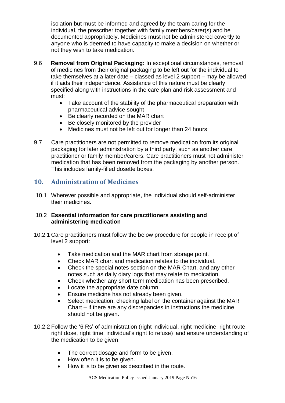isolation but must be informed and agreed by the team caring for the individual, the prescriber together with family members/carer(s) and be documented appropriately. Medicines must not be administered covertly to anyone who is deemed to have capacity to make a decision on whether or not they wish to take medication.

- 9.6 **Removal from Original Packaging:** In exceptional circumstances, removal of medicines from their original packaging to be left out for the individual to take themselves at a later date – classed as level 2 support – may be allowed if it aids their independence. Assistance of this nature must be clearly specified along with instructions in the care plan and risk assessment and must:
	- Take account of the stability of the pharmaceutical preparation with pharmaceutical advice sought
	- Be clearly recorded on the MAR chart
	- Be closely monitored by the provider
	- Medicines must not be left out for longer than 24 hours
- 9.7 Care practitioners are not permitted to remove medication from its original packaging for later administration by a third party, such as another care practitioner or family member/carers. Care practitioners must not administer medication that has been removed from the packaging by another person. This includes family-filled dosette boxes.

## <span id="page-15-0"></span>**10. Administration of Medicines**

10.1 Wherever possible and appropriate, the individual should self-administer their medicines.

#### 10.2 **Essential information for care practitioners assisting and administering medication**

- 10.2.1 Care practitioners must follow the below procedure for people in receipt of level 2 support:
	- Take medication and the MAR chart from storage point.
	- Check MAR chart and medication relates to the individual.
	- Check the special notes section on the MAR Chart, and any other notes such as daily diary logs that may relate to medication.
	- Check whether any short term medication has been prescribed.
	- Locate the appropriate date column.
	- **Ensure medicine has not already been given.**
	- Select medication, checking label on the container against the MAR Chart – if there are any discrepancies in instructions the medicine should not be given.
- 10.2.2 Follow the '6 Rs' of administration (right individual, right medicine, right route, right dose, right time, individual's right to refuse) and ensure understanding of the medication to be given:
	- The correct dosage and form to be given.
	- How often it is to be given.
	- How it is to be given as described in the route.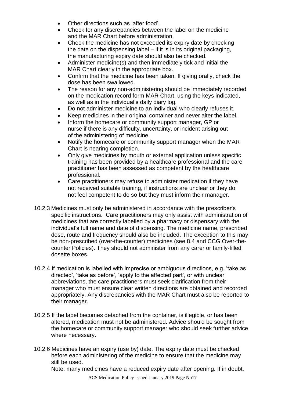- Other directions such as 'after food'.
- Check for any discrepancies between the label on the medicine and the MAR Chart before administration.
- Check the medicine has not exceeded its expiry date by checking the date on the dispensing label – if it is in its original packaging, the manufacturing expiry date should also be checked.
- Administer medicine(s) and then immediately tick and initial the MAR Chart clearly in the appropriate box.
- Confirm that the medicine has been taken. If giving orally, check the dose has been swallowed.
- The reason for any non-administering should be immediately recorded on the medication record form MAR Chart, using the keys indicated, as well as in the individual's daily diary log.
- Do not administer medicine to an individual who clearly refuses it.
- Keep medicines in their original container and never alter the label.
- Inform the homecare or community support manager, GP or nurse if there is any difficulty, uncertainty, or incident arising out of the administering of medicine.
- Notify the homecare or community support manager when the MAR Chart is nearing completion.
- Only give medicines by mouth or external application unless specific training has been provided by a healthcare professional and the care practitioner has been assessed as competent by the healthcare professional.
- Care practitioners may refuse to administer medication if they have not received suitable training, if instructions are unclear or they do not feel competent to do so but they must inform their manager.
- 10.2.3 Medicines must only be administered in accordance with the prescriber's specific instructions. Care practitioners may only assist with administration of medicines that are correctly labelled by a pharmacy or dispensary with the individual's full name and date of dispensing. The medicine name, prescribed dose, route and frequency should also be included. The exception to this may be non-prescribed (over-the-counter) medicines (see 8.4 and CCG Over-thecounter Policies). They should not administer from any carer or family-filled dosette boxes.
- 10.2.4 If medication is labelled with imprecise or ambiguous directions, e.g. 'take as directed', 'take as before', 'apply to the affected part', or with unclear abbreviations, the care practitioners must seek clarification from their manager who must ensure clear written directions are obtained and recorded appropriately. Any discrepancies with the MAR Chart must also be reported to their manager.
- 10.2.5 If the label becomes detached from the container, is illegible, or has been altered, medication must not be administered. Advice should be sought from the homecare or community support manager who should seek further advice where necessary.
- 10.2.6 Medicines have an expiry (use by) date. The expiry date must be checked before each administering of the medicine to ensure that the medicine may still be used.

Note: many medicines have a reduced expiry date after opening. If in doubt,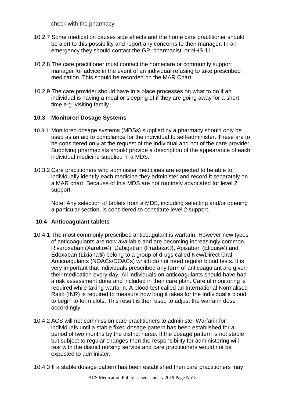check with the pharmacy.

- 10.2.7 Some medication causes side effects and the home care practitioner should be alert to this possibility and report any concerns to their manager. In an emergency they should contact the GP, pharmacist, or NHS 111.
- 10.2.8 The care practitioner must contact the homecare or community support manager for advice in the event of an individual refusing to take prescribed medication. This should be recorded on the MAR Chart.
- 10.2.9 The care provider should have in a place processes on what to do if an individual is having a meal or sleeping of if they are going away for a short time e.g. visiting family.

#### **10.3 Monitored Dosage Systems**

- 10.3.1 Monitored dosage systems (MDSs) supplied by a pharmacy should only be used as an aid to compliance for the individual to self-administer. These are to be considered only at the request of the individual and not of the care provider. Supplying pharmacists should provide a description of the appearance of each individual medicine supplied in a MDS.
- 10.3.2 Care practitioners who administer medicines are expected to be able to individually identify each medicine they administer and record it separately on a MAR chart. Because of this MDS are not routinely advocated for level 2 support.

Note: Any selection of tablets from a MDS, including selecting and/or opening a particular section, is considered to constitute level 2 support.

#### **10.4 Anticoagulant tablets**

- 10.4.1 The most commonly prescribed anticoagulant is warfarin. However new types of anticoagulants are now available and are becoming increasingly common. Rivaroxaban (Xarelto®), Dabigatran (Pradaxa®), Apixaban (Eliquis®) and Edoxaban (Lixiana®) belong to a group of drugs called New/Direct Oral Anticoagulants (NOACs/DOACs) which do not need regular blood tests. It is very important that individuals prescribed any form of anticoagulant are given their medication every day. All individuals on anticoagulants should have had a risk assessment done and included in their care plan. Careful monitoring is required while taking warfarin. A blood test called an International Normalised Ratio (INR) is required to measure how long it takes for the individual's blood to begin to form clots. This result is then used to adjust the warfarin dose accordingly.
- 10.4.2 ACS will not commission care practitioners to administer Warfarin for individuals until a stable fixed dosage pattern has been established for a period of two months by the district nurse. If the dosage pattern is not stable but subject to regular changes then the responsibility for administering will rest with the district nursing service and care practitioners would not be expected to administer.
- 10.4.3 If a stable dosage pattern has been established then care practitioners may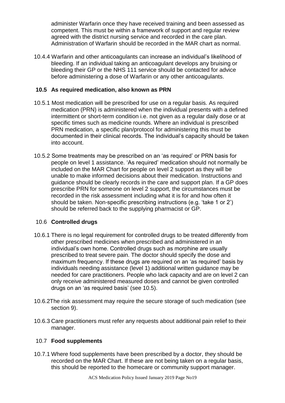administer Warfarin once they have received training and been assessed as competent. This must be within a framework of support and regular review agreed with the district nursing service and recorded in the care plan. Administration of Warfarin should be recorded in the MAR chart as normal.

10.4.4 Warfarin and other anticoagulants can increase an individual's likelihood of bleeding. If an individual taking an anticoagulant develops any bruising or bleeding their GP or the NHS 111 service should be contacted for advice before administering a dose of Warfarin or any other anticoagulants.

#### **10.5 As required medication, also known as PRN**

- 10.5.1 Most medication will be prescribed for use on a regular basis. As required medication (PRN) is administered when the individual presents with a defined intermittent or short-term condition i.e. not given as a regular daily dose or at specific times such as medicine rounds. Where an individual is prescribed PRN medication, a specific plan/protocol for administering this must be documented in their clinical records. The individual's capacity should be taken into account.
- 10.5.2 Some treatments may be prescribed on an 'as required' or PRN basis for people on level 1 assistance. 'As required' medication should not normally be included on the MAR Chart for people on level 2 support as they will be unable to make informed decisions about their medication. Instructions and guidance should be clearly records in the care and support plan. If a GP does prescribe PRN for someone on level 2 support, the circumstances must be recorded in the risk assessment including what it is for and how often it should be taken. Non-specific prescribing instructions (e.g. 'take 1 or 2') should be referred back to the supplying pharmacist or GP.

#### 10.6 **Controlled drugs**

- 10.6.1 There is no legal requirement for controlled drugs to be treated differently from other prescribed medicines when prescribed and administered in an individual's own home. Controlled drugs such as morphine are usually prescribed to treat severe pain. The doctor should specify the dose and maximum frequency. If these drugs are required on an 'as required' basis by individuals needing assistance (level 1) additional written guidance may be needed for care practitioners. People who lack capacity and are on level 2 can only receive administered measured doses and cannot be given controlled drugs on an 'as required basis' (see 10.5).
- 10.6.2The risk assessment may require the secure storage of such medication (see section 9).
- 10.6.3 Care practitioners must refer any requests about additional pain relief to their manager.

#### 10.7 **Food supplements**

10.7.1 Where food supplements have been prescribed by a doctor, they should be recorded on the MAR Chart. If these are not being taken on a regular basis, this should be reported to the homecare or community support manager.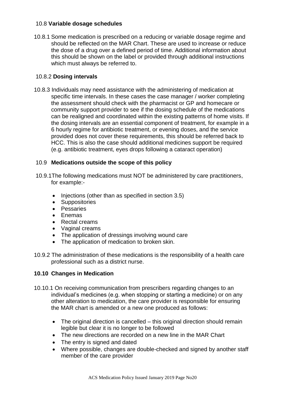#### 10.8 **Variable dosage schedules**

10.8.1 Some medication is prescribed on a reducing or variable dosage regime and should be reflected on the MAR Chart. These are used to increase or reduce the dose of a drug over a defined period of time. Additional information about this should be shown on the label or provided through additional instructions which must always be referred to.

#### 10.8.2 **Dosing intervals**

10.8.3 Individuals may need assistance with the administering of medication at specific time intervals. In these cases the case manager / worker completing the assessment should check with the pharmacist or GP and homecare or community support provider to see if the dosing schedule of the medications can be realigned and coordinated within the existing patterns of home visits. If the dosing intervals are an essential component of treatment, for example in a 6 hourly regime for antibiotic treatment, or evening doses, and the service provided does not cover these requirements, this should be referred back to HCC. This is also the case should additional medicines support be required (e.g. antibiotic treatment, eyes drops following a cataract operation)

#### 10.9 **Medications outside the scope of this policy**

- 10.9.1The following medications must NOT be administered by care practitioners, for example:-
	- $\bullet$  Injections (other than as specified in section 3.5)
	- Suppositories
	- Pessaries
	- Enemas
	- Rectal creams
	- Vaginal creams
	- The application of dressings involving wound care
	- The application of medication to broken skin.
- 10.9.2 The administration of these medications is the responsibility of a health care professional such as a district nurse.

#### **10.10 Changes in Medication**

- 10.10.1 On receiving communication from prescribers regarding changes to an individual's medicines (e.g. when stopping or starting a medicine) or on any other alteration to medication, the care provider is responsible for ensuring the MAR chart is amended or a new one produced as follows:
	- The original direction is cancelled this original direction should remain legible but clear it is no longer to be followed
	- The new directions are recorded on a new line in the MAR Chart
	- The entry is signed and dated
	- Where possible, changes are double-checked and signed by another staff member of the care provider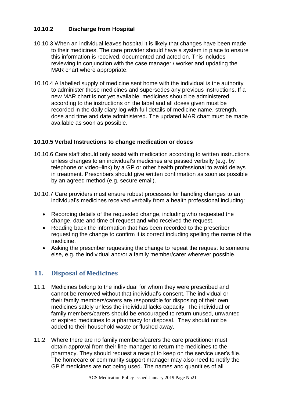## **10.10.2 Discharge from Hospital**

- 10.10.3 When an individual leaves hospital it is likely that changes have been made to their medicines. The care provider should have a system in place to ensure this information is received, documented and acted on. This includes reviewing in conjunction with the case manager / worker and updating the MAR chart where appropriate.
- 10.10.4 A labelled supply of medicine sent home with the individual is the authority to administer those medicines and supersedes any previous instructions. If a new MAR chart is not yet available, medicines should be administered according to the instructions on the label and all doses given must be recorded in the daily diary log with full details of medicine name, strength, dose and time and date administered. The updated MAR chart must be made available as soon as possible.

#### **10.10.5 Verbal Instructions to change medication or doses**

- 10.10.6 Care staff should only assist with medication according to written instructions unless changes to an individual's medicines are passed verbally (e.g. by telephone or video–link) by a GP or other health professional to avoid delays in treatment. Prescribers should give written confirmation as soon as possible by an agreed method (e.g. secure email).
- 10.10.7 Care providers must ensure robust processes for handling changes to an individual's medicines received verbally from a health professional including:
	- Recording details of the requested change, including who requested the change, date and time of request and who received the request.
	- Reading back the information that has been recorded to the prescriber requesting the change to confirm it is correct including spelling the name of the medicine.
	- Asking the prescriber requesting the change to repeat the request to someone else, e.g. the individual and/or a family member/carer wherever possible.

## <span id="page-20-0"></span>**11. Disposal of Medicines**

- 11.1 Medicines belong to the individual for whom they were prescribed and cannot be removed without that individual's consent. The individual or their family members/carers are responsible for disposing of their own medicines safely unless the individual lacks capacity. The individual or family members/carers should be encouraged to return unused, unwanted or expired medicines to a pharmacy for disposal. They should not be added to their household waste or flushed away.
- 11.2 Where there are no family members/carers the care practitioner must obtain approval from their line manager to return the medicines to the pharmacy. They should request a receipt to keep on the service user's file. The homecare or community support manager may also need to notify the GP if medicines are not being used. The names and quantities of all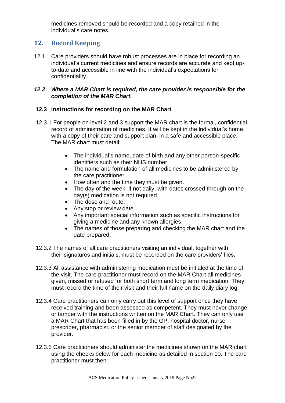medicines removed should be recorded and a copy retained in the individual's care notes.

## <span id="page-21-0"></span>**12. Record Keeping**

12.1 Care providers should have robust processes are in place for recording an individual's current medicines and ensure records are accurate and kept upto-date and accessible in line with the individual's expectations for confidentiality.

#### *12.2 Where a MAR Chart is required, the care provider is responsible for the completion of the MAR Chart.*

#### **12.3 Instructions for recording on the MAR Chart**

- 12.3.1 For people on level 2 and 3 support the MAR chart is the formal, confidential record of administration of medicines. It will be kept in the individual's home, with a copy of their care and support plan, in a safe and accessible place. The MAR chart must detail:
	- The individual's name, date of birth and any other person-specific identifiers such as their NHS number.
	- The name and formulation of all medicines to be administered by the care practitioner.
	- How often and the time they must be given.
	- The day of the week, if not daily, with dates crossed through on the day(s) medication is not required.
	- The dose and route.
	- Any stop or review date.
	- Any important special information such as specific instructions for giving a medicine and any known allergies.
	- The names of those preparing and checking the MAR chart and the date prepared.
- 12.3.2 The names of all care practitioners visiting an individual, together with their signatures and initials, must be recorded on the care providers' files.
- 12.3.3 All assistance with administering medication must be initialed at the time of the visit. The care practitioner must record on the MAR Chart all medicines given, missed or refused for both short term and long term medication. They must record the time of their visit and their full name on the daily diary log.
- 12.3.4 Care practitioners can only carry out this level of support once they have received training and been assessed as competent. They must never change or tamper with the instructions written on the MAR Chart. They can only use a MAR Chart that has been filled in by the GP, hospital doctor, nurse prescriber, pharmacist, or the senior member of staff designated by the provider.
- 12.3.5 Care practitioners should administer the medicines shown on the MAR chart using the checks below for each medicine as detailed in section 10. The care practitioner must then: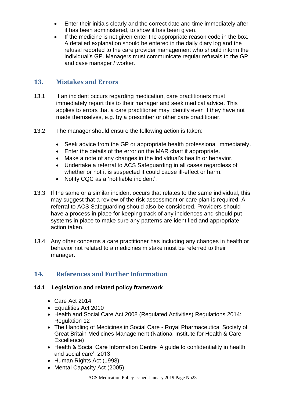- Enter their initials clearly and the correct date and time immediately after it has been administered, to show it has been given.
- If the medicine is not given enter the appropriate reason code in the box. A detailed explanation should be entered in the daily diary log and the refusal reported to the care provider management who should inform the individual's GP. Managers must communicate regular refusals to the GP and case manager / worker.

## <span id="page-22-0"></span>**13. Mistakes and Errors**

- 13.1 If an incident occurs regarding medication, care practitioners must immediately report this to their manager and seek medical advice. This applies to errors that a care practitioner may identify even if they have not made themselves, e.g. by a prescriber or other care practitioner.
- 13.2 The manager should ensure the following action is taken:
	- Seek advice from the GP or appropriate health professional immediately.
	- Enter the details of the error on the MAR chart if appropriate.
	- Make a note of any changes in the individual's health or behavior.
	- Undertake a referral to ACS Safeguarding in all cases regardless of whether or not it is suspected it could cause ill-effect or harm.
	- Notify CQC as a 'notifiable incident'.
- 13.3 If the same or a similar incident occurs that relates to the same individual, this may suggest that a review of the risk assessment or care plan is required. A referral to ACS Safeguarding should also be considered. Providers should have a process in place for keeping track of any incidences and should put systems in place to make sure any patterns are identified and appropriate action taken.
- 13.4 Any other concerns a care practitioner has including any changes in health or behavior not related to a medicines mistake must be referred to their manager.

## <span id="page-22-1"></span>**14. References and Further Information**

#### **14.1 Legislation and related policy framework**

- Care Act 2014
- Equalities Act 2010
- Health and Social Care Act 2008 (Regulated Activities) Regulations 2014: Regulation 12
- The Handling of Medicines in Social Care Royal Pharmaceutical Society of Great Britain Medicines Management (National Institute for Health & Care Excellence)
- Health & Social Care Information Centre 'A guide to confidentiality in health and social care', 2013
- Human Rights Act (1998)
- Mental Capacity Act (2005)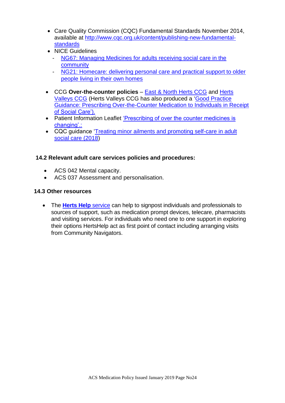- Care Quality Commission (CQC) Fundamental Standards November 2014, available at [http://www.cqc.org.uk/content/publishing-new-fundamental](http://www.cqc.org.uk/content/publishing-new-fundamental-standards)[standards](http://www.cqc.org.uk/content/publishing-new-fundamental-standards)
- NICE Guidelines
	- NG67: Managing Medicines for adults receiving social care in the [community](https://www.nice.org.uk/guidance/ng67)
	- [NG21: Homecare: delivering personal care](https://www.nice.org.uk/guidance/ng21) and practical support to older [people living in their own homes](https://www.nice.org.uk/guidance/ng21)
- CCG **Over-the-counter policies** [East & North Herts CCG](http://www.enhertsccg.nhs.uk/sites/default/files/documents/Jan2018/OTC-Policy-Dec17-V1.0_FINAL.pdf) and [Herts](http://hertsvalleysccg.nhs.uk/publications/pharmacy-and-medicines-optimisation/local-decisions/otc)  [Valleys CCG](http://hertsvalleysccg.nhs.uk/publications/pharmacy-and-medicines-optimisation/local-decisions/otc) (Herts Valleys CCG has also produced a ['Good Practice](https://hertsvalleysccg.nhs.uk/application/files/2915/3847/1472/HVCCG_Good_Practice_Guidance_Prescribing_Over_The_Counter_Medication_to_Individuals_in_Receipt_of_Social_Care_v1.0_August_2018.pdf)  [Guidance: Prescribing Over-the-Counter Medication to Individuals in Receipt](https://hertsvalleysccg.nhs.uk/application/files/2915/3847/1472/HVCCG_Good_Practice_Guidance_Prescribing_Over_The_Counter_Medication_to_Individuals_in_Receipt_of_Social_Care_v1.0_August_2018.pdf)  [of Social Care'\).](https://hertsvalleysccg.nhs.uk/application/files/2915/3847/1472/HVCCG_Good_Practice_Guidance_Prescribing_Over_The_Counter_Medication_to_Individuals_in_Receipt_of_Social_Care_v1.0_August_2018.pdf)
- Patient Information Leaflet 'Prescribing of over the counter medicines is [changing'.:](https://www.england.nhs.uk/publication/prescribing-of-over-the-counter-medicines-is-changing/)
- CQC guidance ['Treating minor ailments and promoting self-care in adult](https://www.cqc.org.uk/guidance-providers/adult-social-care/treating-minor-ailments-promoting-self-care-adult-social-care)  [social care \(2018\)](https://www.cqc.org.uk/guidance-providers/adult-social-care/treating-minor-ailments-promoting-self-care-adult-social-care)

## **14.2 Relevant adult care services policies and procedures:**

- ACS 042 Mental capacity.
- ACS 037 Assessment and personalisation.

#### **14.3 Other resources**

 The **[Herts Help](https://www.hertshelp.net/favicon.ico)** service can help to signpost individuals and professionals to sources of support, such as medication prompt devices, telecare, pharmacists and visiting services. For individuals who need one to one support in exploring their options HertsHelp act as first point of contact including arranging visits from Community Navigators.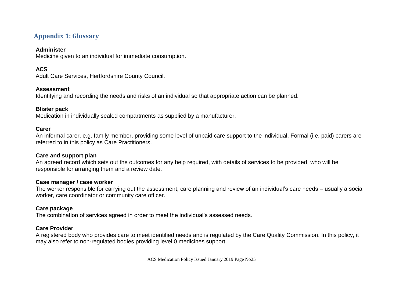## **Appendix 1: Glossary**

#### **Administer**

Medicine given to an individual for immediate consumption.

## **ACS**

Adult Care Services, Hertfordshire County Council.

#### **Assessment**

Identifying and recording the needs and risks of an individual so that appropriate action can be planned.

#### **Blister pack**

Medication in individually sealed compartments as supplied by a manufacturer.

#### **Carer**

<span id="page-24-0"></span>An informal carer, e.g. family member, providing some level of unpaid care support to the individual. Formal (i.e. paid) carers are referred to in this policy as Care Practitioners.

#### **Care and support plan**

An agreed record which sets out the outcomes for any help required, with details of services to be provided, who will be responsible for arranging them and a review date.

#### **Case manager / case worker**

The worker responsible for carrying out the assessment, care planning and review of an individual's care needs – usually a social worker, care coordinator or community care officer.

#### **Care package**

The combination of services agreed in order to meet the individual's assessed needs.

#### **Care Provider**

A registered body who provides care to meet identified needs and is regulated by the Care Quality Commission. In this policy, it may also refer to non-regulated bodies providing level 0 medicines support.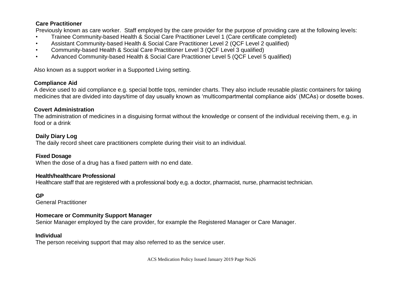#### **Care Practitioner**

Previously known as care worker. Staff employed by the care provider for the purpose of providing care at the following levels:

- Trainee Community-based Health & Social Care Practitioner Level 1 (Care certificate completed)
- Assistant Community-based Health & Social Care Practitioner Level 2 (QCF Level 2 qualified)
- Community-based Health & Social Care Practitioner Level 3 (QCF Level 3 qualified)
- Advanced Community-based Health & Social Care Practitioner Level 5 (QCF Level 5 qualified)

Also known as a support worker in a Supported Living setting.

#### **Compliance Aid**

A device used to aid compliance e.g. special bottle tops, reminder charts. They also include reusable plastic containers for taking medicines that are divided into days/time of day usually known as 'multicompartmental compliance aids' (MCAs) or dosette boxes.

#### **Covert Administration**

The administration of medicines in a disguising format without the knowledge or consent of the individual receiving them, e.g. in food or a drink

#### **Daily Diary Log**

The daily record sheet care practitioners complete during their visit to an individual.

## **Fixed Dosage**

When the dose of a drug has a fixed pattern with no end date.

#### **Health/healthcare Professional**

Healthcare staff that are registered with a professional body e,g. a doctor, pharmacist, nurse, pharmacist technician.

#### **GP**

General Practitioner

#### **Homecare or Community Support Manager**

Senior Manager employed by the care provider, for example the Registered Manager or Care Manager.

#### **Individual**

The person receiving support that may also referred to as the service user.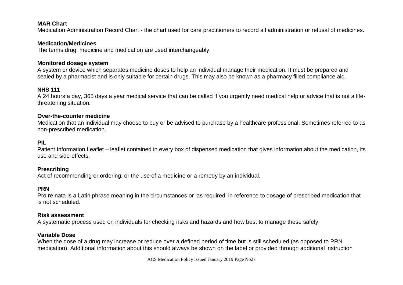#### **MAR Chart**

Medication Administration Record Chart - the chart used for care practitioners to record all administration or refusal of medicines.

#### **Medication/Medicines**

The terms drug, medicine and medication are used interchangeably.

#### **Monitored dosage system**

A system or device which separates medicine doses to help an individual manage their medication. It must be prepared and sealed by a pharmacist and is only suitable for certain drugs. This may also be known as a pharmacy filled compliance aid.

#### **NHS 111**

A 24 hours a day, 365 days a year medical service that can be called if you urgently need medical help or advice that is not a lifethreatening situation.

#### **Over-the-counter medicine**

Medication that an individual may choose to buy or be advised to purchase by a healthcare professional. Sometimes referred to as non-prescribed medication.

#### **PIL**

Patient Information Leaflet – leaflet contained in every box of dispensed medication that gives information about the medication, its use and side-effects.

#### **Prescribing**

Act of recommending or ordering, or the use of a medicine or a remedy by an individual.

#### **PRN**

Pro re nata is a Latin phrase meaning in the circumstances or 'as required' in reference to dosage of prescribed medication that is not scheduled.

#### **Risk assessment**

A systematic process used on individuals for checking risks and hazards and how best to manage these safely.

#### **Variable Dose**

When the dose of a drug may increase or reduce over a defined period of time but is still scheduled (as opposed to PRN medication). Additional information about this should always be shown on the label or provided through additional instruction

ACS Medication Policy Issued January 2019 Page No27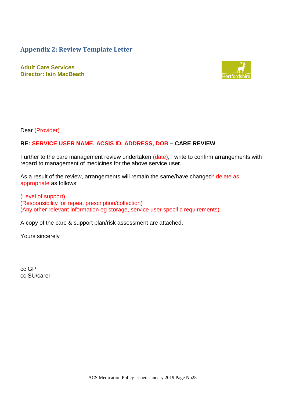<span id="page-27-0"></span>**Appendix 2: Review Template Letter**

**Adult Care Services Director: Iain MacBeath**



Dear (Provider)

#### **RE: SERVICE USER NAME, ACSIS ID, ADDRESS, DOB – CARE REVIEW**

Further to the care management review undertaken (date), I write to confirm arrangements with regard to management of medicines for the above service user.

As a result of the review, arrangements will remain the same/have changed\* delete as appropriate as follows:

(Level of support) (Responsibility for repeat prescription/collection) (Any other relevant information eg storage, service user specific requirements)

A copy of the care & support plan/risk assessment are attached.

Yours sincerely

cc GP cc SU/carer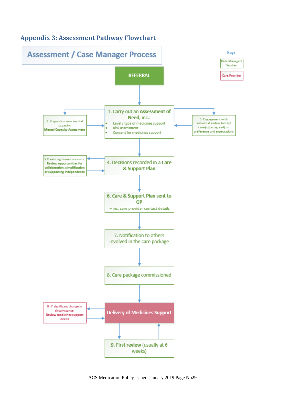## <span id="page-28-0"></span>**Appendix 3: Assessment Pathway Flowchart**

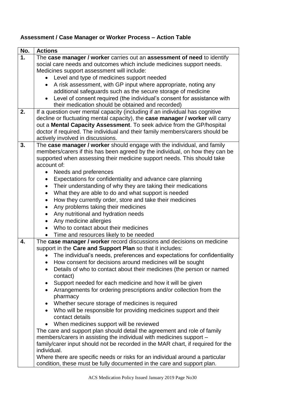## **Assessment / Case Manager or Worker Process – Action Table**

| No.                                                                 | <b>Actions</b>                                                                                                                      |  |  |
|---------------------------------------------------------------------|-------------------------------------------------------------------------------------------------------------------------------------|--|--|
| 1.                                                                  | The case manager / worker carries out an assessment of need to identify                                                             |  |  |
|                                                                     | social care needs and outcomes which include medicines support needs.                                                               |  |  |
|                                                                     | Medicines support assessment will include:                                                                                          |  |  |
|                                                                     | Level and type of medicines support needed                                                                                          |  |  |
|                                                                     | A risk assessment, with GP input where appropriate, noting any                                                                      |  |  |
|                                                                     | additional safeguards such as the secure storage of medicine                                                                        |  |  |
|                                                                     | Level of consent required (the individual's consent for assistance with                                                             |  |  |
|                                                                     | their medication should be obtained and recorded)                                                                                   |  |  |
| 2.                                                                  | If a question over mental capacity (including if an individual has cognitive                                                        |  |  |
|                                                                     | decline or fluctuating mental capacity), the case manager / worker will carry                                                       |  |  |
|                                                                     | out a Mental Capacity Assessment. To seek advice from the GP/hospital                                                               |  |  |
|                                                                     | doctor if required. The individual and their family members/carers should be                                                        |  |  |
|                                                                     | actively involved in discussions.                                                                                                   |  |  |
| 3.                                                                  | The case manager / worker should engage with the individual, and family                                                             |  |  |
|                                                                     | members/carers if this has been agreed by the individual, on how they can be                                                        |  |  |
|                                                                     | supported when assessing their medicine support needs. This should take<br>account of:                                              |  |  |
|                                                                     | $\bullet$                                                                                                                           |  |  |
|                                                                     | Needs and preferences<br>Expectations for confidentiality and advance care planning                                                 |  |  |
|                                                                     | $\bullet$<br>Their understanding of why they are taking their medications                                                           |  |  |
|                                                                     | $\bullet$                                                                                                                           |  |  |
|                                                                     | What they are able to do and what support is needed<br>$\bullet$                                                                    |  |  |
|                                                                     | How they currently order, store and take their medicines<br>$\bullet$                                                               |  |  |
|                                                                     | Any problems taking their medicines<br>$\bullet$                                                                                    |  |  |
|                                                                     | Any nutritional and hydration needs<br>٠                                                                                            |  |  |
|                                                                     | Any medicine allergies<br>$\bullet$                                                                                                 |  |  |
|                                                                     | Who to contact about their medicines                                                                                                |  |  |
| 4.                                                                  | Time and resources likely to be needed                                                                                              |  |  |
|                                                                     | The case manager / worker record discussions and decisions on medicine<br>support in the Care and Support Plan so that it includes: |  |  |
|                                                                     | The individual's needs, preferences and expectations for confidentiality                                                            |  |  |
|                                                                     | How consent for decisions around medicines will be sought                                                                           |  |  |
|                                                                     | Details of who to contact about their medicines (the person or named                                                                |  |  |
|                                                                     | contact)                                                                                                                            |  |  |
|                                                                     | Support needed for each medicine and how it will be given                                                                           |  |  |
|                                                                     | Arrangements for ordering prescriptions and/or collection from the<br>$\bullet$                                                     |  |  |
|                                                                     | pharmacy                                                                                                                            |  |  |
|                                                                     | Whether secure storage of medicines is required<br>$\bullet$                                                                        |  |  |
|                                                                     | Who will be responsible for providing medicines support and their                                                                   |  |  |
|                                                                     | contact details                                                                                                                     |  |  |
| When medicines support will be reviewed                             |                                                                                                                                     |  |  |
|                                                                     | The care and support plan should detail the agreement and role of family                                                            |  |  |
| members/carers in assisting the individual with medicines support - |                                                                                                                                     |  |  |
|                                                                     | family/carer input should not be recorded in the MAR chart, if required for the                                                     |  |  |
|                                                                     | individual.                                                                                                                         |  |  |
|                                                                     | Where there are specific needs or risks for an individual around a particular                                                       |  |  |
|                                                                     | condition, these must be fully documented in the care and support plan.                                                             |  |  |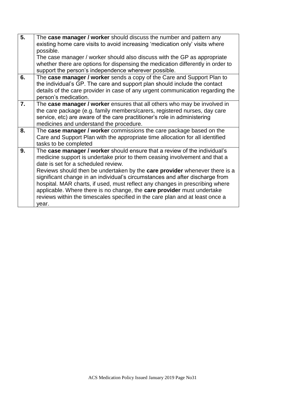| 5. | The case manager / worker should discuss the number and pattern any<br>existing home care visits to avoid increasing 'medication only' visits where |
|----|-----------------------------------------------------------------------------------------------------------------------------------------------------|
|    | possible.                                                                                                                                           |
|    | The case manager / worker should also discuss with the GP as appropriate                                                                            |
|    | whether there are options for dispensing the medication differently in order to                                                                     |
|    | support the person's independence wherever possible.                                                                                                |
| 6. | The case manager / worker sends a copy of the Care and Support Plan to                                                                              |
|    | the individual's GP. The care and support plan should include the contact                                                                           |
|    | details of the care provider in case of any urgent communication regarding the                                                                      |
|    | person's medication.                                                                                                                                |
| 7. | The case manager / worker ensures that all others who may be involved in                                                                            |
|    | the care package (e.g. family members/carers, registered nurses, day care                                                                           |
|    | service, etc) are aware of the care practitioner's role in administering                                                                            |
|    | medicines and understand the procedure.                                                                                                             |
| 8. | The case manager / worker commissions the care package based on the                                                                                 |
|    | Care and Support Plan with the appropriate time allocation for all identified                                                                       |
|    | tasks to be completed                                                                                                                               |
| 9. | The case manager / worker should ensure that a review of the individual's                                                                           |
|    | medicine support is undertake prior to them ceasing involvement and that a                                                                          |
|    | date is set for a scheduled review.                                                                                                                 |
|    | Reviews should then be undertaken by the <b>care provider</b> whenever there is a                                                                   |
|    | significant change in an individual's circumstances and after discharge from                                                                        |
|    | hospital. MAR charts, if used, must reflect any changes in prescribing where                                                                        |
|    | applicable. Where there is no change, the care provider must undertake                                                                              |
|    | reviews within the timescales specified in the care plan and at least once a                                                                        |
|    | year.                                                                                                                                               |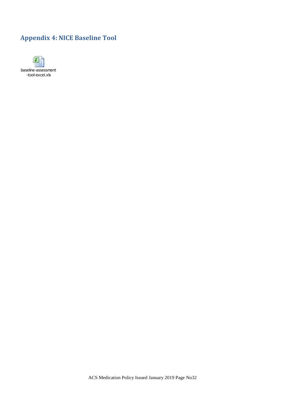## <span id="page-31-0"></span>**Appendix 4: NICE Baseline Tool**

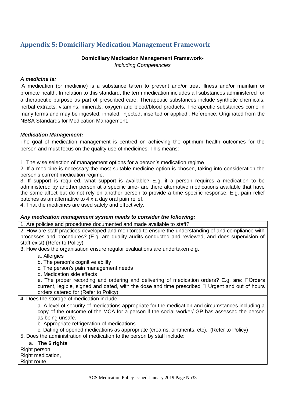## <span id="page-32-0"></span>**Appendix 5: Domiciliary Medication Management Framework**

#### **Domiciliary Medication Management Framework**-

*Including Competencies*

#### *A medicine is:*

'A medication (or medicine) is a substance taken to prevent and/or treat illness and/or maintain or promote health. In relation to this standard, the term medication includes all substances administered for a therapeutic purpose as part of prescribed care. Therapeutic substances include synthetic chemicals, herbal extracts, vitamins, minerals, oxygen and blood/blood products. Therapeutic substances come in many forms and may be ingested, inhaled, injected, inserted or applied'. Reference: Originated from the NBSA Standards for Medication Management.

#### *Medication Management:*

The goal of medication management is centred on achieving the optimum health outcomes for the person and must focus on the quality use of medicines. This means:

1. The wise selection of management options for a person's medication regime

2. If a medicine is necessary the most suitable medicine option is chosen, taking into consideration the person's current medication regime.

3. If support is required, what support is available? E.g. if a person requires a medication to be administered by another person at a specific time- are there alternative medications available that have the same affect but do not rely on another person to provide a time specific response. E.g. pain relief patches as an alternative to 4 x a day oral pain relief.

4. That the medicines are used safely and effectively.

#### *Any medication management system needs to consider the following:*

1. Are policies and procedures documented and made available to staff?

2. How are staff practices developed and monitored to ensure the understanding of and compliance with processes and procedures? (E.g. are quality audits conducted and reviewed, and does supervision of staff exist) (Refer to Policy)

3. How does the organisation ensure regular evaluations are undertaken e.g.

a. Allergies

- b. The person's cognitive ability
- c. The person's pain management needs
- d. Medication side effects

e. The proper recording and ordering and delivering of medication orders? E.g. are:  $\Box$  Orders current. legible, signed and dated, with the dose and time prescribed  $\Box$  Urgent and out of hours orders catered for (Refer to Policy)

4. Does the storage of medication include:

a. A level of security of medications appropriate for the medication and circumstances including a copy of the outcome of the MCA for a person if the social worker/ GP has assessed the person as being unsafe.

b. Appropriate refrigeration of medications

c. Dating of opened medications as appropriate (creams, ointments, etc). (Refer to Policy)

5. Does the administration of medication to the person by staff include:

#### a. **The 6 rights**

Right person,

Right medication,

Right route,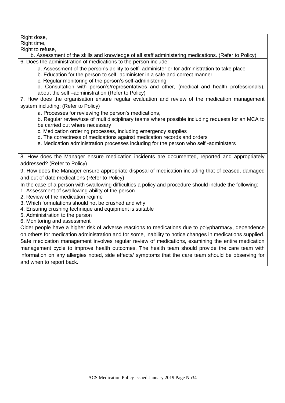Right dose,

Right time,

Right to refuse,

 b. Assessment of the skills and knowledge of all staff administering medications. (Refer to Policy) 6. Does the administration of medications to the person include:

a. Assessment of the person's ability to self -administer or for administration to take place

b. Education for the person to self -administer in a safe and correct manner

c. Regular monitoring of the person's self-administering

d. Consultation with person's/representatives and other, (medical and health professionals), about the self –administration (Refer to Policy)

7. How does the organisation ensure regular evaluation and review of the medication management system including: (Refer to Policy)

a. Processes for reviewing the person's medications,

b. Regular review/use of multidisciplinary teams where possible including requests for an MCA to be carried out where necessary

c. Medication ordering processes, including emergency supplies

d. The correctness of medications against medication records and orders

e. Medication administration processes including for the person who self -administers

8. How does the Manager ensure medication incidents are documented, reported and appropriately addressed? (Refer to Policy)

9. How does the Manager ensure appropriate disposal of medication including that of ceased, damaged and out of date medications (Refer to Policy)

In the case of a person with swallowing difficulties a policy and procedure should include the following:

1. Assessment of swallowing ability of the person

2. Review of the medication regime

3. Which formulations should not be crushed and why

4. Ensuring crushing technique and equipment is suitable

5. Administration to the person

6. Monitoring and assessment

Older people have a higher risk of adverse reactions to medications due to polypharmacy, dependence on others for medication administration and for some, inability to notice changes in medications supplied. Safe medication management involves regular review of medications, examining the entire medication management cycle to improve health outcomes. The health team should provide the care team with information on any allergies noted, side effects/ symptoms that the care team should be observing for and when to report back.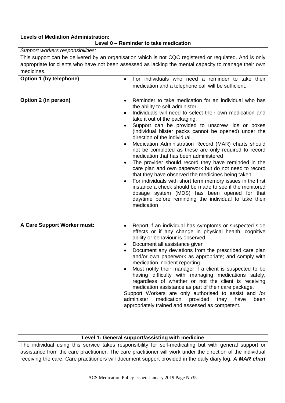#### **Levels of Mediation Administration:**

#### **Level 0 – Reminder to take medication**

#### *Support workers responsibilities:*

This support can be delivered by an organisation which is not CQC registered or regulated. And is only appropriate for clients who have not been assessed as lacking the mental capacity to manage their own medicines.

| Option 1 (by telephone)     | For individuals who need a reminder to take their                                                                                                                                                                                                                                                                                                                                                                                                                                                                                                                                                                                                                                                                                                                                                                                                                                                                                 |
|-----------------------------|-----------------------------------------------------------------------------------------------------------------------------------------------------------------------------------------------------------------------------------------------------------------------------------------------------------------------------------------------------------------------------------------------------------------------------------------------------------------------------------------------------------------------------------------------------------------------------------------------------------------------------------------------------------------------------------------------------------------------------------------------------------------------------------------------------------------------------------------------------------------------------------------------------------------------------------|
|                             | medication and a telephone call will be sufficient.                                                                                                                                                                                                                                                                                                                                                                                                                                                                                                                                                                                                                                                                                                                                                                                                                                                                               |
|                             |                                                                                                                                                                                                                                                                                                                                                                                                                                                                                                                                                                                                                                                                                                                                                                                                                                                                                                                                   |
| Option 2 (in person)        | Reminder to take medication for an individual who has<br>$\bullet$<br>the ability to self-administer.<br>Individuals will need to select their own medication and<br>take it out of the packaging.<br>Support can be provided to unscrew lids or boxes<br>(individual blister packs cannot be opened) under the<br>direction of the individual.<br>Medication Administration Record (MAR) charts should<br>not be completed as these are only required to record<br>medication that has been administered<br>The provider should record they have reminded in the<br>care plan and own paperwork but do not need to record<br>that they have observed the medicines being taken.<br>For individuals with short term memory issues in the first<br>instance a check should be made to see if the monitored<br>dosage system (MDS) has been opened for that<br>day/time before reminding the individual to take their<br>medication |
| A Care Support Worker must: | Report if an individual has symptoms or suspected side<br>effects or if any change in physical health, cognitive<br>ability or behaviour is observed.<br>Document all assistance given<br>Document any deviations from the prescribed care plan<br>and/or own paperwork as appropriate; and comply with<br>medication incident reporting.<br>Must notify their manager if a client is suspected to be<br>$\bullet$<br>having difficulty with managing medications safely,<br>regardless of whether or not the client is receiving<br>medication assistance as part of their care package.<br>Support Workers are only authorised to assist and /or<br>administer<br>medication<br>provided<br>have<br>they<br>been<br>appropriately trained and assessed as competent.                                                                                                                                                            |
|                             | Level 1: General support/assisting with medicine                                                                                                                                                                                                                                                                                                                                                                                                                                                                                                                                                                                                                                                                                                                                                                                                                                                                                  |
|                             | The individual using this service takes responsibility for self-medicating but with general support or                                                                                                                                                                                                                                                                                                                                                                                                                                                                                                                                                                                                                                                                                                                                                                                                                            |
|                             | assistance from the care practitioner. The care practitioner will work under the direction of the individual                                                                                                                                                                                                                                                                                                                                                                                                                                                                                                                                                                                                                                                                                                                                                                                                                      |
|                             | receiving the care. Care practitioners will document support provided in the daily diary log. A MAR chart                                                                                                                                                                                                                                                                                                                                                                                                                                                                                                                                                                                                                                                                                                                                                                                                                         |
|                             |                                                                                                                                                                                                                                                                                                                                                                                                                                                                                                                                                                                                                                                                                                                                                                                                                                                                                                                                   |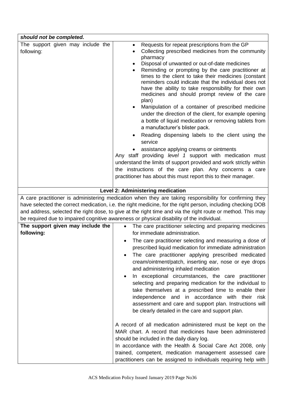| should not be completed.                        |                                                                                                                                                                                                                                                                                                                                                                                                                                                                                                                                                                                                                                                                                                                                                                                                                                                                                                                                                                                                                                                                                       |
|-------------------------------------------------|---------------------------------------------------------------------------------------------------------------------------------------------------------------------------------------------------------------------------------------------------------------------------------------------------------------------------------------------------------------------------------------------------------------------------------------------------------------------------------------------------------------------------------------------------------------------------------------------------------------------------------------------------------------------------------------------------------------------------------------------------------------------------------------------------------------------------------------------------------------------------------------------------------------------------------------------------------------------------------------------------------------------------------------------------------------------------------------|
| The support given may include the<br>following: | Requests for repeat prescriptions from the GP<br>$\bullet$<br>Collecting prescribed medicines from the community<br>$\bullet$<br>pharmacy<br>Disposal of unwanted or out-of-date medicines<br>٠<br>Reminding or prompting by the care practitioner at<br>٠<br>times to the client to take their medicines (constant<br>reminders could indicate that the individual does not<br>have the ability to take responsibility for their own<br>medicines and should prompt review of the care<br>plan)<br>Manipulation of a container of prescribed medicine<br>under the direction of the client, for example opening<br>a bottle of liquid medication or removing tablets from<br>a manufacturer's blister pack.<br>Reading dispensing labels to the client using the<br>service<br>assistance applying creams or ointments<br>Any staff providing level 1 support with medication must<br>understand the limits of support provided and work strictly within<br>the instructions of the care plan. Any concerns a care<br>practitioner has about this must report this to their manager. |
|                                                 |                                                                                                                                                                                                                                                                                                                                                                                                                                                                                                                                                                                                                                                                                                                                                                                                                                                                                                                                                                                                                                                                                       |
|                                                 | Level 2: Administering medication                                                                                                                                                                                                                                                                                                                                                                                                                                                                                                                                                                                                                                                                                                                                                                                                                                                                                                                                                                                                                                                     |
|                                                 | A care practitioner is administering medication when they are taking responsibility for confirming they                                                                                                                                                                                                                                                                                                                                                                                                                                                                                                                                                                                                                                                                                                                                                                                                                                                                                                                                                                               |
|                                                 | have selected the correct medication, i.e. the right medicine, for the right person, including checking DOB                                                                                                                                                                                                                                                                                                                                                                                                                                                                                                                                                                                                                                                                                                                                                                                                                                                                                                                                                                           |
|                                                 | and address, selected the right dose, to give at the right time and via the right route or method. This may                                                                                                                                                                                                                                                                                                                                                                                                                                                                                                                                                                                                                                                                                                                                                                                                                                                                                                                                                                           |
|                                                 | be required due to impaired cognitive awareness or physical disability of the individual.                                                                                                                                                                                                                                                                                                                                                                                                                                                                                                                                                                                                                                                                                                                                                                                                                                                                                                                                                                                             |
| The support given may include the<br>following: | The care practitioner selecting and preparing medicines<br>$\bullet$                                                                                                                                                                                                                                                                                                                                                                                                                                                                                                                                                                                                                                                                                                                                                                                                                                                                                                                                                                                                                  |
|                                                 | for immediate administration.                                                                                                                                                                                                                                                                                                                                                                                                                                                                                                                                                                                                                                                                                                                                                                                                                                                                                                                                                                                                                                                         |
|                                                 | The care practitioner selecting and measuring a dose of                                                                                                                                                                                                                                                                                                                                                                                                                                                                                                                                                                                                                                                                                                                                                                                                                                                                                                                                                                                                                               |
|                                                 | prescribed liquid medication for immediate administration                                                                                                                                                                                                                                                                                                                                                                                                                                                                                                                                                                                                                                                                                                                                                                                                                                                                                                                                                                                                                             |
|                                                 | The care practitioner applying prescribed medicated                                                                                                                                                                                                                                                                                                                                                                                                                                                                                                                                                                                                                                                                                                                                                                                                                                                                                                                                                                                                                                   |
|                                                 | cream/ointment/patch, inserting ear, nose or eye drops<br>and administering inhaled medication                                                                                                                                                                                                                                                                                                                                                                                                                                                                                                                                                                                                                                                                                                                                                                                                                                                                                                                                                                                        |
|                                                 | In exceptional circumstances, the care practitioner                                                                                                                                                                                                                                                                                                                                                                                                                                                                                                                                                                                                                                                                                                                                                                                                                                                                                                                                                                                                                                   |
|                                                 | selecting and preparing medication for the individual to                                                                                                                                                                                                                                                                                                                                                                                                                                                                                                                                                                                                                                                                                                                                                                                                                                                                                                                                                                                                                              |
|                                                 | take themselves at a prescribed time to enable their                                                                                                                                                                                                                                                                                                                                                                                                                                                                                                                                                                                                                                                                                                                                                                                                                                                                                                                                                                                                                                  |
|                                                 | independence and in accordance with their risk                                                                                                                                                                                                                                                                                                                                                                                                                                                                                                                                                                                                                                                                                                                                                                                                                                                                                                                                                                                                                                        |
|                                                 | assessment and care and support plan. Instructions will                                                                                                                                                                                                                                                                                                                                                                                                                                                                                                                                                                                                                                                                                                                                                                                                                                                                                                                                                                                                                               |
|                                                 | be clearly detailed in the care and support plan.                                                                                                                                                                                                                                                                                                                                                                                                                                                                                                                                                                                                                                                                                                                                                                                                                                                                                                                                                                                                                                     |
|                                                 |                                                                                                                                                                                                                                                                                                                                                                                                                                                                                                                                                                                                                                                                                                                                                                                                                                                                                                                                                                                                                                                                                       |
|                                                 | A record of all medication administered must be kept on the                                                                                                                                                                                                                                                                                                                                                                                                                                                                                                                                                                                                                                                                                                                                                                                                                                                                                                                                                                                                                           |
|                                                 | MAR chart. A record that medicines have been administered                                                                                                                                                                                                                                                                                                                                                                                                                                                                                                                                                                                                                                                                                                                                                                                                                                                                                                                                                                                                                             |
|                                                 | should be included in the daily diary log.                                                                                                                                                                                                                                                                                                                                                                                                                                                                                                                                                                                                                                                                                                                                                                                                                                                                                                                                                                                                                                            |
|                                                 | In accordance with the Health & Social Care Act 2008, only                                                                                                                                                                                                                                                                                                                                                                                                                                                                                                                                                                                                                                                                                                                                                                                                                                                                                                                                                                                                                            |
|                                                 | trained, competent, medication management assessed care                                                                                                                                                                                                                                                                                                                                                                                                                                                                                                                                                                                                                                                                                                                                                                                                                                                                                                                                                                                                                               |
|                                                 | practitioners can be assigned to individuals requiring help with                                                                                                                                                                                                                                                                                                                                                                                                                                                                                                                                                                                                                                                                                                                                                                                                                                                                                                                                                                                                                      |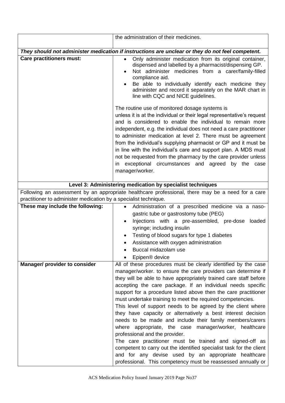|                                                                                                                                                                 | the administration of their medicines.                                                                                                                                                                                                                                                                                                                                                                                                                                                                                                                                                                                                                                                                                                                                                                                                                                                                                                                                  |  |  |  |
|-----------------------------------------------------------------------------------------------------------------------------------------------------------------|-------------------------------------------------------------------------------------------------------------------------------------------------------------------------------------------------------------------------------------------------------------------------------------------------------------------------------------------------------------------------------------------------------------------------------------------------------------------------------------------------------------------------------------------------------------------------------------------------------------------------------------------------------------------------------------------------------------------------------------------------------------------------------------------------------------------------------------------------------------------------------------------------------------------------------------------------------------------------|--|--|--|
|                                                                                                                                                                 | They should not administer medication if instructions are unclear or they do not feel competent.                                                                                                                                                                                                                                                                                                                                                                                                                                                                                                                                                                                                                                                                                                                                                                                                                                                                        |  |  |  |
| <b>Care practitioners must:</b>                                                                                                                                 | Only administer medication from its original container,<br>dispensed and labelled by a pharmacist/dispensing GP.<br>Not administer medicines from a carer/family-filled<br>compliance aid.<br>Be able to individually identify each medicine they<br>administer and record it separately on the MAR chart in<br>line with CQC and NICE guidelines.<br>The routine use of monitored dosage systems is<br>unless it is at the individual or their legal representative's request<br>and is considered to enable the individual to remain more<br>independent, e.g. the individual does not need a care practitioner<br>to administer medication at level 2. There must be agreement<br>from the individual's supplying pharmacist or GP and it must be<br>in line with the individual's care and support plan. A MDS must<br>not be requested from the pharmacy by the care provider unless<br>exceptional circumstances and agreed by the case<br>in.<br>manager/worker. |  |  |  |
|                                                                                                                                                                 |                                                                                                                                                                                                                                                                                                                                                                                                                                                                                                                                                                                                                                                                                                                                                                                                                                                                                                                                                                         |  |  |  |
| Level 3: Administering medication by specialist techniques<br>Following an assessment by an appropriate healthcare professional, there may be a need for a care |                                                                                                                                                                                                                                                                                                                                                                                                                                                                                                                                                                                                                                                                                                                                                                                                                                                                                                                                                                         |  |  |  |
| practitioner to administer medication by a specialist technique.                                                                                                |                                                                                                                                                                                                                                                                                                                                                                                                                                                                                                                                                                                                                                                                                                                                                                                                                                                                                                                                                                         |  |  |  |
| These may include the following:                                                                                                                                | Administration of a prescribed medicine via a naso-<br>$\bullet$<br>gastric tube or gastrostomy tube (PEG)<br>Injections with a pre-assembled, pre-dose<br>loaded<br>syringe; including insulin<br>Testing of blood sugars for type 1 diabetes<br>Assistance with oxygen administration<br>Buccal midazolam use<br>Epipen® device                                                                                                                                                                                                                                                                                                                                                                                                                                                                                                                                                                                                                                       |  |  |  |
| Manager/ provider to consider                                                                                                                                   | All of these procedures must be clearly identified by the case<br>manager/worker. to ensure the care providers can determine if<br>they will be able to have appropriately trained care staff before<br>accepting the care package. If an individual needs specific<br>support for a procedure listed above then the care practitioner<br>must undertake training to meet the required competencies.<br>This level of support needs to be agreed by the client where<br>they have capacity or alternatively a best interest decision<br>needs to be made and include their family members/carers<br>where appropriate, the case manager/worker, healthcare<br>professional and the provider.<br>The care practitioner must be trained and signed-off as<br>competent to carry out the identified specialist task for the client<br>and for any devise used by an appropriate healthcare<br>professional. This competency must be reassessed annually or                 |  |  |  |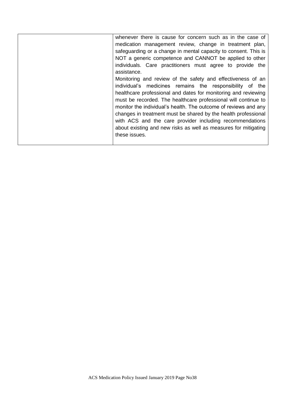| whenever there is cause for concern such as in the case of      |
|-----------------------------------------------------------------|
| medication management review, change in treatment plan,         |
| safeguarding or a change in mental capacity to consent. This is |
| NOT a generic competence and CANNOT be applied to other         |
| individuals. Care practitioners must agree to provide the       |
| assistance.                                                     |
| Monitoring and review of the safety and effectiveness of an     |
| individual's medicines remains the responsibility of the        |
| healthcare professional and dates for monitoring and reviewing  |
| must be recorded. The healthcare professional will continue to  |
| monitor the individual's health. The outcome of reviews and any |
| changes in treatment must be shared by the health professional  |
| with ACS and the care provider including recommendations        |
| about existing and new risks as well as measures for mitigating |
| these issues.                                                   |
|                                                                 |
|                                                                 |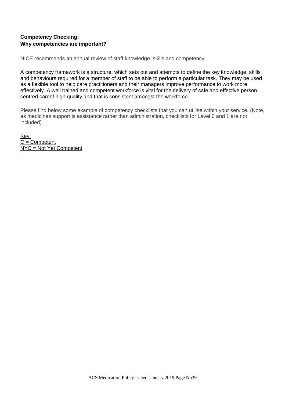#### **Competency Checking: Why competencies are important?**

NICE recommends an annual review of staff knowledge, skills and competency.

A competency framework is a structure, which sets out and attempts to define the key knowledge, skills and behaviours required for a member of staff to be able to perform a particular task. They may be used as a flexible tool to help care practitioners and their managers improve performance to work more effectively. A well trained and competent workforce is vital for the delivery of safe and effective person centred careof high quality and that is consistent amongst the workforce.

Please find below some example of competency checklists that you can utilise within your service. (Note, as medicines support is assistance rather than administration, checklists for Level 0 and 1 are not included)

Key:  $\overline{C}$  = Competent NYC = Not Yet Competent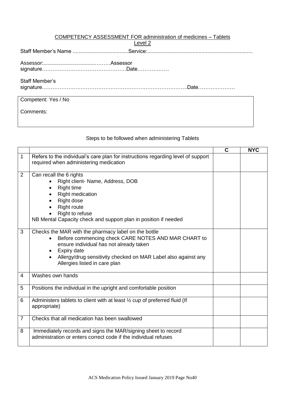| COMPETENCY ASSESSMENT FOR administration of medicines - Tablets<br>Level 2 |
|----------------------------------------------------------------------------|
|                                                                            |
|                                                                            |
| Staff Member's                                                             |
| Competent: Yes / No                                                        |
| Comments:                                                                  |

### Steps to be followed when administering Tablets

|                |                                                                                                                                                                                                                                                                          | C | <b>NYC</b> |
|----------------|--------------------------------------------------------------------------------------------------------------------------------------------------------------------------------------------------------------------------------------------------------------------------|---|------------|
| 1              | Refers to the individual's care plan for instructions regarding level of support<br>required when administering medication                                                                                                                                               |   |            |
| $\overline{2}$ | Can recall the 6 rights<br>Right client- Name, Address, DOB<br><b>Right time</b><br><b>Right medication</b><br><b>Right dose</b><br><b>Right route</b><br>Right to refuse<br>NB Mental Capacity check and support plan in position if needed                             |   |            |
| 3              | Checks the MAR with the pharmacy label on the bottle<br>Before commencing check CARE NOTES AND MAR CHART to<br>ensure individual has not already taken<br>Expiry date<br>Allergy/drug sensitivity checked on MAR Label also against any<br>Allergies listed in care plan |   |            |
| 4              | Washes own hands                                                                                                                                                                                                                                                         |   |            |
| 5              | Positions the individual in the upright and comfortable position                                                                                                                                                                                                         |   |            |
| 6              | Administers tablets to client with at least 1/2 cup of preferred fluid (If<br>appropriate)                                                                                                                                                                               |   |            |
| 7              | Checks that all medication has been swallowed                                                                                                                                                                                                                            |   |            |
| 8              | Immediately records and signs the MAR/signing sheet to record<br>administration or enters correct code if the individual refuses                                                                                                                                         |   |            |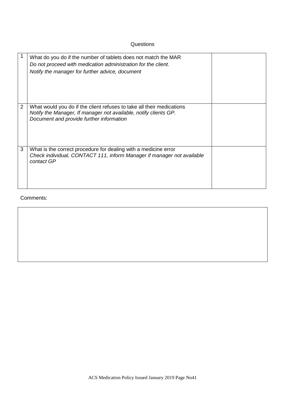#### **Questions**

|   | What do you do if the number of tablets does not match the MAR<br>Do not proceed with medication administration for the client.<br>Notify the manager for further advice, document    |  |
|---|---------------------------------------------------------------------------------------------------------------------------------------------------------------------------------------|--|
| 2 | What would you do if the client refuses to take all their medications<br>Notify the Manager, If manager not available, notify clients GP.<br>Document and provide further information |  |
| 3 | What is the correct procedure for dealing with a medicine error<br>Check individual, CONTACT 111, inform Manager if manager not available<br>contact GP                               |  |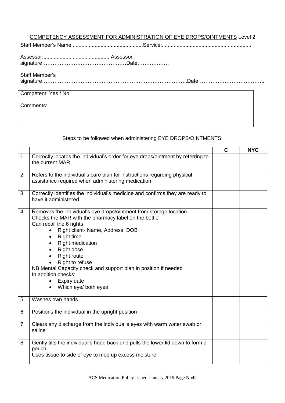## COMPETENCY ASSESSMENT FOR ADMINISTRATION OF EYE DROPS/OINTMENTS Level 2

|--|--|

#### Staff Member's

signature………………………………………………………………………..Date………………………………..

#### Competent: Yes / No

Comments:

#### Steps to be followed when administering EYE DROPS/OINTMENTS:

|                |                                                                                                                                                                                                                                                                                                                                                                                                                                               | C | <b>NYC</b> |
|----------------|-----------------------------------------------------------------------------------------------------------------------------------------------------------------------------------------------------------------------------------------------------------------------------------------------------------------------------------------------------------------------------------------------------------------------------------------------|---|------------|
| $\mathbf 1$    | Correctly locates the individual's order for eye drops/ointment by referring to<br>the current MAR                                                                                                                                                                                                                                                                                                                                            |   |            |
| 2              | Refers to the individual's care plan for instructions regarding physical<br>assistance required when administering medication                                                                                                                                                                                                                                                                                                                 |   |            |
| 3              | Correctly identifies the individual's medicine and confirms they are ready to<br>have it administered                                                                                                                                                                                                                                                                                                                                         |   |            |
| 4              | Removes the individual's eye drops/ointment from storage location<br>Checks the MAR with the pharmacy label on the bottle<br>Can recall the 6 rights<br>Right client- Name, Address, DOB<br><b>Right time</b><br>$\bullet$<br><b>Right medication</b><br>Right dose<br><b>Right route</b><br>Right to refuse<br>NB Mental Capacity check and support plan in position if needed<br>In addition checks:<br>Expiry date<br>Which eye/ both eyes |   |            |
| 5              | Washes own hands                                                                                                                                                                                                                                                                                                                                                                                                                              |   |            |
| 6              | Positions the individual in the upright position                                                                                                                                                                                                                                                                                                                                                                                              |   |            |
| $\overline{7}$ | Clears any discharge from the individual's eyes with warm water swab or<br>saline                                                                                                                                                                                                                                                                                                                                                             |   |            |
| 8              | Gently tilts the individual's head back and pulls the lower lid down to form a<br>pouch<br>Uses tissue to side of eye to mop up excess moisture                                                                                                                                                                                                                                                                                               |   |            |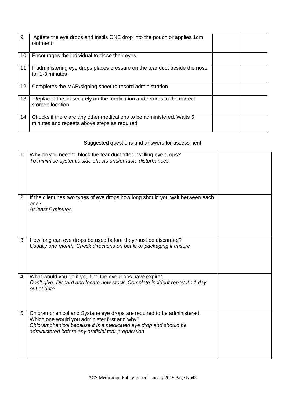| 9               | Agitate the eye drops and instils ONE drop into the pouch or applies 1cm<br>ointment                                 |  |
|-----------------|----------------------------------------------------------------------------------------------------------------------|--|
| 10 <sup>°</sup> | Encourages the individual to close their eyes                                                                        |  |
| 11              | If administering eye drops places pressure on the tear duct beside the nose<br>for 1-3 minutes                       |  |
| 12 <sub>2</sub> | Completes the MAR/signing sheet to record administration                                                             |  |
| 13              | Replaces the lid securely on the medication and returns to the correct<br>storage location                           |  |
| 14              | Checks if there are any other medications to be administered. Waits 5<br>minutes and repeats above steps as required |  |

## Suggested questions and answers for assessment

| 1              | Why do you need to block the tear duct after instilling eye drops?<br>To minimise systemic side effects and/or taste disturbances                                                                                                                  |  |
|----------------|----------------------------------------------------------------------------------------------------------------------------------------------------------------------------------------------------------------------------------------------------|--|
| $\overline{2}$ | If the client has two types of eye drops how long should you wait between each<br>one?<br>At least 5 minutes                                                                                                                                       |  |
| 3              | How long can eye drops be used before they must be discarded?<br>Usually one month. Check directions on bottle or packaging if unsure                                                                                                              |  |
| $\overline{4}$ | What would you do if you find the eye drops have expired<br>Don't give. Discard and locate new stock. Complete incident report if >1 day<br>out of date                                                                                            |  |
| 5              | Chloramphenicol and Systane eye drops are required to be administered.<br>Which one would you administer first and why?<br>Chloramphenicol because it is a medicated eye drop and should be<br>administered before any artificial tear preparation |  |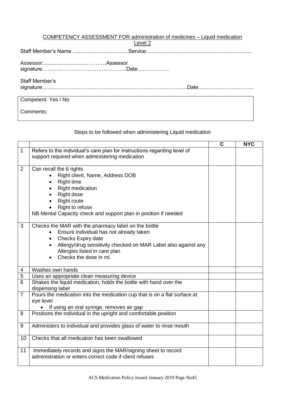|                     | <b>COMPETENCY ASSESSMENT FOR administration of medicines - Liquid medication</b><br>Level 2 |
|---------------------|---------------------------------------------------------------------------------------------|
|                     |                                                                                             |
|                     |                                                                                             |
| Staff Member's      |                                                                                             |
| Competent: Yes / No |                                                                                             |
| Comments:           |                                                                                             |

## Steps to be followed when administering Liquid medication

|                |                                                                                       | C | <b>NYC</b> |
|----------------|---------------------------------------------------------------------------------------|---|------------|
| $\mathbf{1}$   | Refers to the individual's care plan for instructions regarding level of              |   |            |
|                | support required when administering medication                                        |   |            |
| $\overline{2}$ | Can recall the 6 rights                                                               |   |            |
|                | Right client, Name, Address DOB<br>$\bullet$                                          |   |            |
|                | <b>Right time</b><br>$\bullet$                                                        |   |            |
|                | <b>Right medication</b>                                                               |   |            |
|                | Right dose                                                                            |   |            |
|                | <b>Right route</b>                                                                    |   |            |
|                | Right to refuse                                                                       |   |            |
|                | NB Mental Capacity check and support plan in position if needed                       |   |            |
| 3              | Checks the MAR with the pharmacy label on the bottle                                  |   |            |
|                | Ensure individual has not already taken<br>$\bullet$                                  |   |            |
|                | Checks Expiry date<br>$\bullet$                                                       |   |            |
|                | Allergy/drug sensitivity checked on MAR Label also against any                        |   |            |
|                | Allergies listed in care plan<br>Checks the dose in ml.                               |   |            |
|                |                                                                                       |   |            |
| 4              | Washes own hands                                                                      |   |            |
| 5              | Uses an appropriate clean measuring device                                            |   |            |
| 6              | Shakes the liquid medication, holds the bottle with hand over the<br>dispensing label |   |            |
| $\overline{7}$ | Pours the medication into the medication cup that is on a flat surface at             |   |            |
|                | eye level                                                                             |   |            |
|                | If using an oral syringe, removes air gap                                             |   |            |
| 8              | Positions the individual in the upright and comfortable position                      |   |            |
| 9              | Administers to individual and provides glass of water to rinse mouth                  |   |            |
| 10             | Checks that all medication has been swallowed                                         |   |            |
| 11             | Immediately records and signs the MAR/signing sheet to record                         |   |            |
|                | administration or enters correct code if client refuses                               |   |            |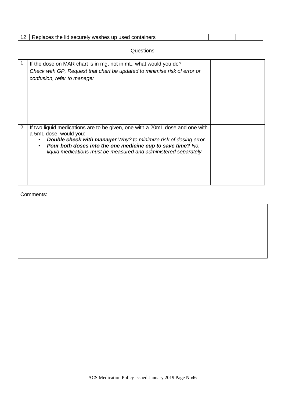| - 12<br>v washes<br>containers<br>securely<br><sub>ີ</sub> up used ∟<br>Replaces the "<br>lid. |  |
|------------------------------------------------------------------------------------------------|--|
|                                                                                                |  |

**Questions** 

|                | If the dose on MAR chart is in mg, not in mL, what would you do?<br>Check with GP, Request that chart be updated to minimise risk of error or<br>confusion, refer to manager                                                                                                                                        |  |
|----------------|---------------------------------------------------------------------------------------------------------------------------------------------------------------------------------------------------------------------------------------------------------------------------------------------------------------------|--|
| $\overline{2}$ | If two liquid medications are to be given, one with a 20mL dose and one with<br>a 5mL dose, would you:<br><b>Double check with manager</b> Why? to minimize risk of dosing error.<br>Pour both doses into the one medicine cup to save time? No,<br>liquid medications must be measured and administered separately |  |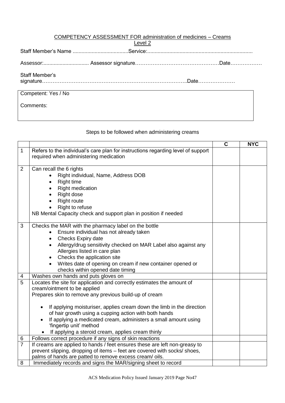#### COMPETENCY ASSESSMENT FOR administration of medicines – Creams

| ı<br>v<br>∼<br>. .<br>. . |  |
|---------------------------|--|
|                           |  |

Staff Member's Name ......................................Service:........................................................................

Assessor:............................... Assessor signature…………………………………………Date………………

## Staff Member's

signature………………………………………………………………………..Date…………………

#### Competent: Yes / No

Comments:

#### Steps to be followed when administering creams

|                |                                                                                                                                             | $\mathbf C$ | <b>NYC</b> |
|----------------|---------------------------------------------------------------------------------------------------------------------------------------------|-------------|------------|
| $\mathbf 1$    | Refers to the individual's care plan for instructions regarding level of support                                                            |             |            |
|                | required when administering medication                                                                                                      |             |            |
|                |                                                                                                                                             |             |            |
| $\overline{2}$ | Can recall the 6 rights                                                                                                                     |             |            |
|                | Right individual, Name, Address DOB                                                                                                         |             |            |
|                | <b>Right time</b>                                                                                                                           |             |            |
|                | <b>Right medication</b>                                                                                                                     |             |            |
|                | <b>Right dose</b>                                                                                                                           |             |            |
|                | <b>Right route</b><br>Right to refuse                                                                                                       |             |            |
|                | NB Mental Capacity check and support plan in position if needed                                                                             |             |            |
|                |                                                                                                                                             |             |            |
| 3              | Checks the MAR with the pharmacy label on the bottle                                                                                        |             |            |
|                | Ensure individual has not already taken                                                                                                     |             |            |
|                | Checks Expiry date<br>$\bullet$                                                                                                             |             |            |
|                | Allergy/drug sensitivity checked on MAR Label also against any                                                                              |             |            |
|                | Allergies listed in care plan                                                                                                               |             |            |
|                | Checks the application site                                                                                                                 |             |            |
|                | Writes date of opening on cream if new container opened or                                                                                  |             |            |
|                | checks within opened date timing                                                                                                            |             |            |
| 4              | Washes own hands and puts gloves on                                                                                                         |             |            |
| 5              | Locates the site for application and correctly estimates the amount of                                                                      |             |            |
|                | cream/ointment to be applied                                                                                                                |             |            |
|                | Prepares skin to remove any previous build-up of cream                                                                                      |             |            |
|                |                                                                                                                                             |             |            |
|                | If applying moisturiser, applies cream down the limb in the direction<br>$\bullet$<br>of hair growth using a cupping action with both hands |             |            |
|                | If applying a medicated cream, administers a small amount using<br>$\bullet$                                                                |             |            |
|                | 'fingertip unit' method                                                                                                                     |             |            |
|                | If applying a steroid cream, applies cream thinly                                                                                           |             |            |
| 6              | Follows correct procedure if any signs of skin reactions                                                                                    |             |            |
| $\overline{7}$ | If creams are applied to hands / feet ensures these are left non-greasy to                                                                  |             |            |
|                | prevent slipping, dropping of items - feet are covered with socks/ shoes,                                                                   |             |            |
|                | palms of hands are patted to remove excess cream/oils.                                                                                      |             |            |
| 8              | Immediately records and signs the MAR/signing sheet to record                                                                               |             |            |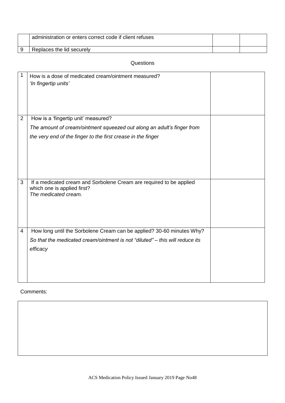| administration or enters correct code if client refuses |  |
|---------------------------------------------------------|--|
| Replaces the lid securely                               |  |

#### **Questions**

| 1              | How is a dose of medicated cream/ointment measured?<br>'In fingertip units'                        |  |
|----------------|----------------------------------------------------------------------------------------------------|--|
| $\overline{2}$ | How is a 'fingertip unit' measured?                                                                |  |
|                | The amount of cream/ointment squeezed out along an adult's finger from                             |  |
|                | the very end of the finger to the first crease in the finger                                       |  |
|                |                                                                                                    |  |
|                |                                                                                                    |  |
|                |                                                                                                    |  |
|                |                                                                                                    |  |
| 3              | If a medicated cream and Sorbolene Cream are required to be applied<br>which one is applied first? |  |
|                | The medicated cream.                                                                               |  |
|                |                                                                                                    |  |
|                |                                                                                                    |  |
|                |                                                                                                    |  |
| 4              | How long until the Sorbolene Cream can be applied? 30-60 minutes Why?                              |  |
|                | So that the medicated cream/ointment is not "diluted" – this will reduce its                       |  |
|                | efficacy                                                                                           |  |
|                |                                                                                                    |  |
|                |                                                                                                    |  |
|                |                                                                                                    |  |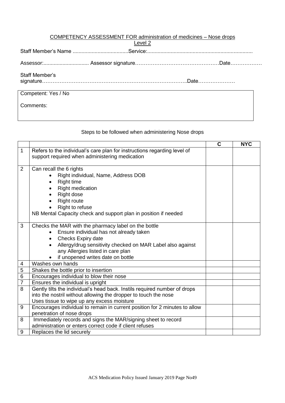#### COMPETENCY ASSESSMENT FOR administration of medicines – Nose drops Level 2

|--|

Assessor:............................... Assessor signature…………………………………………Date………………

## Staff Member's

signature………………………………………………………………………..Date…………………

## Competent: Yes / No

Comments:

#### Steps to be followed when administering Nose drops

|                |                                                                            | C | <b>NYC</b> |
|----------------|----------------------------------------------------------------------------|---|------------|
| 1              | Refers to the individual's care plan for instructions regarding level of   |   |            |
|                | support required when administering medication                             |   |            |
|                |                                                                            |   |            |
| $\overline{2}$ | Can recall the 6 rights                                                    |   |            |
|                | Right individual, Name, Address DOB                                        |   |            |
|                | <b>Right time</b>                                                          |   |            |
|                | <b>Right medication</b>                                                    |   |            |
|                | <b>Right dose</b>                                                          |   |            |
|                | <b>Right route</b>                                                         |   |            |
|                | Right to refuse                                                            |   |            |
|                | NB Mental Capacity check and support plan in position if needed            |   |            |
|                |                                                                            |   |            |
| 3              | Checks the MAR with the pharmacy label on the bottle                       |   |            |
|                | Ensure individual has not already taken                                    |   |            |
|                | Checks Expiry date                                                         |   |            |
|                | Allergy/drug sensitivity checked on MAR Label also against                 |   |            |
|                | any Allergies listed in care plan                                          |   |            |
|                | if unopened writes date on bottle                                          |   |            |
| 4              | Washes own hands                                                           |   |            |
| 5              | Shakes the bottle prior to insertion                                       |   |            |
| 6              | Encourages individual to blow their nose                                   |   |            |
| 7              | Ensures the individual is upright                                          |   |            |
| 8              | Gently tilts the individual's head back. Instils required number of drops  |   |            |
|                | into the nostril without allowing the dropper to touch the nose            |   |            |
|                | Uses tissue to wipe up any excess moisture                                 |   |            |
| 9              | Encourages individual to remain in current position for 2 minutes to allow |   |            |
|                | penetration of nose drops                                                  |   |            |
| 8              | Immediately records and signs the MAR/signing sheet to record              |   |            |
|                | administration or enters correct code if client refuses                    |   |            |
| 9              | Replaces the lid securely                                                  |   |            |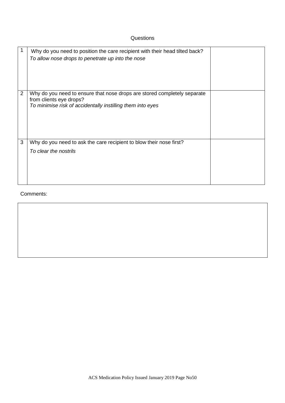#### **Questions**

|                | Why do you need to position the care recipient with their head tilted back?<br>To allow nose drops to penetrate up into the nose                                  |  |
|----------------|-------------------------------------------------------------------------------------------------------------------------------------------------------------------|--|
| $\overline{2}$ | Why do you need to ensure that nose drops are stored completely separate<br>from clients eye drops?<br>To minimise risk of accidentally instilling them into eyes |  |
| 3              | Why do you need to ask the care recipient to blow their nose first?<br>To clear the nostrils                                                                      |  |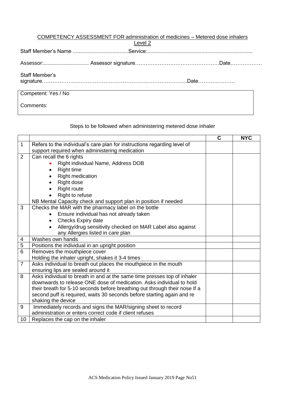|                     | COMPETENCY ASSESSMENT FOR administration of medicines - Metered dose inhalers<br>Level 2 |  |
|---------------------|------------------------------------------------------------------------------------------|--|
|                     |                                                                                          |  |
|                     |                                                                                          |  |
|                     |                                                                                          |  |
|                     |                                                                                          |  |
| Staff Member's      |                                                                                          |  |
|                     |                                                                                          |  |
|                     |                                                                                          |  |
| Competent: Yes / No |                                                                                          |  |
|                     |                                                                                          |  |
| Comments:           |                                                                                          |  |
|                     |                                                                                          |  |

## Steps to be followed when administering metered dose inhaler

|                |                                                                                                                          | C | <b>NYC</b> |
|----------------|--------------------------------------------------------------------------------------------------------------------------|---|------------|
| $\mathbf{1}$   | Refers to the individual's care plan for instructions regarding level of                                                 |   |            |
|                | support required when administering medication                                                                           |   |            |
| $\overline{2}$ | Can recall the 6 rights                                                                                                  |   |            |
|                | Right individual Name, Address DOB                                                                                       |   |            |
|                | <b>Right time</b><br>$\bullet$                                                                                           |   |            |
|                | Right medication                                                                                                         |   |            |
|                | Right dose                                                                                                               |   |            |
|                | <b>Right route</b>                                                                                                       |   |            |
|                | Right to refuse                                                                                                          |   |            |
|                | NB Mental Capacity check and support plan in position if needed                                                          |   |            |
| 3              | Checks the MAR with the pharmacy label on the bottle                                                                     |   |            |
|                | Ensure individual has not already taken                                                                                  |   |            |
|                | Checks Expiry date<br>$\bullet$                                                                                          |   |            |
|                | Allergy/drug sensitivity checked on MAR Label also against                                                               |   |            |
|                | any Allergies listed in care plan                                                                                        |   |            |
| 4              | Washes own hands                                                                                                         |   |            |
| 5              | Positions the individual in an upright position                                                                          |   |            |
| 6              | Removes the mouthpiece cover                                                                                             |   |            |
|                | Holding the inhaler upright, shakes it 3-4 times                                                                         |   |            |
| $\overline{7}$ | Asks individual to breath out places the mouthpiece in the mouth                                                         |   |            |
|                | ensuring lips are sealed around it                                                                                       |   |            |
| 8              | Asks individual to breath in and at the same time presses top of inhaler                                                 |   |            |
|                | downwards to release ONE dose of medication. Asks individual to hold                                                     |   |            |
|                | their breath for 5-10 seconds before breathing out through their nose If a                                               |   |            |
|                | second puff is required, waits 30 seconds before starting again and re                                                   |   |            |
|                | shaking the device                                                                                                       |   |            |
| 9              | Immediately records and signs the MAR/signing sheet to record<br>administration or enters correct code if client refuses |   |            |
|                |                                                                                                                          |   |            |
| 10             | Replaces the cap on the inhaler                                                                                          |   |            |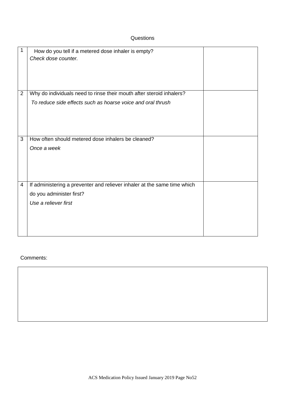#### **Questions**

| 1              | How do you tell if a metered dose inhaler is empty?<br>Check dose counter. |  |
|----------------|----------------------------------------------------------------------------|--|
| $\overline{2}$ | Why do individuals need to rinse their mouth after steroid inhalers?       |  |
|                | To reduce side effects such as hoarse voice and oral thrush                |  |
| 3              | How often should metered dose inhalers be cleaned?                         |  |
|                | Once a week                                                                |  |
| 4              | If administering a preventer and reliever inhaler at the same time which   |  |
|                | do you administer first?                                                   |  |
|                | Use a reliever first                                                       |  |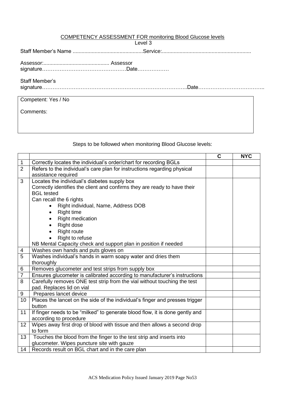|                     | <b>COMPETENCY ASSESSMENT FOR monitoring Blood Glucose levels</b><br>Level 3 |  |
|---------------------|-----------------------------------------------------------------------------|--|
|                     |                                                                             |  |
|                     |                                                                             |  |
| Staff Member's      |                                                                             |  |
| Competent: Yes / No |                                                                             |  |
| Comments:           |                                                                             |  |

Steps to be followed when monitoring Blood Glucose levels:

|                 |                                                                              | C | <b>NYC</b> |
|-----------------|------------------------------------------------------------------------------|---|------------|
| $\mathbf 1$     | Correctly locates the individual's order/chart for recording BGLs            |   |            |
| $\overline{2}$  | Refers to the individual's care plan for instructions regarding physical     |   |            |
|                 | assistance required                                                          |   |            |
| 3               | Locates the individual's diabetes supply box                                 |   |            |
|                 | Correctly identifies the client and confirms they are ready to have their    |   |            |
|                 | <b>BGL</b> tested                                                            |   |            |
|                 | Can recall the 6 rights                                                      |   |            |
|                 | Right individual, Name, Address DOB<br>$\bullet$                             |   |            |
|                 | <b>Right time</b><br>$\bullet$                                               |   |            |
|                 | Right medication                                                             |   |            |
|                 | Right dose                                                                   |   |            |
|                 | <b>Right route</b>                                                           |   |            |
|                 | Right to refuse<br>$\bullet$                                                 |   |            |
|                 | NB Mental Capacity check and support plan in position if needed              |   |            |
| 4               | Washes own hands and puts gloves on                                          |   |            |
| 5               | Washes individual's hands in warm soapy water and dries them                 |   |            |
|                 | thoroughly                                                                   |   |            |
| 6               | Removes glucometer and test strips from supply box                           |   |            |
| $\overline{7}$  | Ensures glucometer is calibrated according to manufacturer's instructions    |   |            |
| 8               | Carefully removes ONE test strip from the vial without touching the test     |   |            |
|                 | pad. Replaces lid on vial                                                    |   |            |
| 9               | Prepares lancet device                                                       |   |            |
| 10 <sup>°</sup> | Places the lancet on the side of the individual's finger and presses trigger |   |            |
|                 | button                                                                       |   |            |
| 11              | If finger needs to be "milked" to generate blood flow, it is done gently and |   |            |
|                 | according to procedure                                                       |   |            |
| 12              | Wipes away first drop of blood with tissue and then allows a second drop     |   |            |
|                 | to form                                                                      |   |            |
| 13              | Touches the blood from the finger to the test strip and inserts into         |   |            |
|                 | glucometer. Wipes puncture site with gauze                                   |   |            |
| 14              | Records result on BGL chart and in the care plan                             |   |            |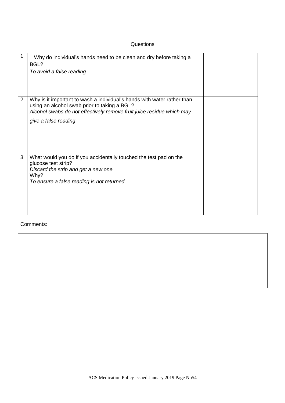#### **Questions**

|                | Why do individual's hands need to be clean and dry before taking a<br>BGL?<br>To avoid a false reading                                                                                                                   |  |
|----------------|--------------------------------------------------------------------------------------------------------------------------------------------------------------------------------------------------------------------------|--|
| $\overline{2}$ | Why is it important to wash a individual's hands with water rather than<br>using an alcohol swab prior to taking a BGL?<br>Alcohol swabs do not effectively remove fruit juice residue which may<br>give a false reading |  |
| 3              | What would you do if you accidentally touched the test pad on the<br>glucose test strip?<br>Discard the strip and get a new one<br>Why?<br>To ensure a false reading is not returned                                     |  |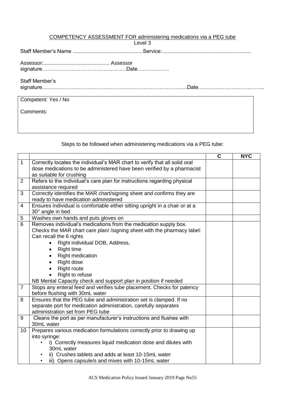|                     | COMPETENCY ASSESSMENT FOR administering medications via a PEG tube<br>Level 3 |
|---------------------|-------------------------------------------------------------------------------|
|                     |                                                                               |
|                     |                                                                               |
| Staff Member's      |                                                                               |
| Competent: Yes / No |                                                                               |
| Comments:           |                                                                               |

Steps to be followed when administering medications via a PEG tube:

|                |                                                                                                                                            | $\mathbf C$ | <b>NYC</b> |
|----------------|--------------------------------------------------------------------------------------------------------------------------------------------|-------------|------------|
| $\mathbf{1}$   | Correctly locates the individual's MAR chart to verify that all solid oral                                                                 |             |            |
|                | dose medications to be administered have been verified by a pharmacist                                                                     |             |            |
|                | as suitable for crushing                                                                                                                   |             |            |
| 2              | Refers to the individual's care plan for instructions regarding physical                                                                   |             |            |
|                | assistance required                                                                                                                        |             |            |
| 3              | Correctly identifies the MAR chart/signing sheet and confirms they are                                                                     |             |            |
|                | ready to have medication administered                                                                                                      |             |            |
| 4              | Ensures individual is comfortable either sitting upright in a chair or at a<br>30° angle in bed                                            |             |            |
| 5              | Washes own hands and puts gloves on                                                                                                        |             |            |
| 6              | Removes individual's medications from the medication supply box.<br>Checks the MAR chart care plan//signing sheet with the pharmacy label: |             |            |
|                | Can recall the 6 rights                                                                                                                    |             |            |
|                | Right individual DOB, Address,<br>$\bullet$                                                                                                |             |            |
|                | <b>Right time</b><br>$\bullet$                                                                                                             |             |            |
|                | <b>Right medication</b><br>$\bullet$                                                                                                       |             |            |
|                | Right dose                                                                                                                                 |             |            |
|                | <b>Right route</b><br>$\bullet$                                                                                                            |             |            |
|                | Right to refuse                                                                                                                            |             |            |
|                | NB Mental Capacity check and support plan in position if needed                                                                            |             |            |
| $\overline{7}$ | Stops any enteral feed and verifies tube placement. Checks for patency                                                                     |             |            |
|                | before flushing with 30mL water                                                                                                            |             |            |
| 8              | Ensures that the PEG tube and administration set is clamped. If no                                                                         |             |            |
|                | separate port for medication administration, carefully separates                                                                           |             |            |
|                | administration set from PEG tube                                                                                                           |             |            |
| 9              | Cleans the port as per manufacturer's instructions and flushes with                                                                        |             |            |
|                | 30mL water                                                                                                                                 |             |            |
| 10             | Prepares various medication formulations correctly prior to drawing up<br>into syringe:                                                    |             |            |
|                | i) Correctly measures liquid medication dose and dilutes with<br>٠                                                                         |             |            |
|                | 30mL water                                                                                                                                 |             |            |
|                | ii) Crushes tablets and adds at least 10-15mL water                                                                                        |             |            |
|                | iii) Opens capsule/s and mixes with 10-15mL water<br>$\bullet$                                                                             |             |            |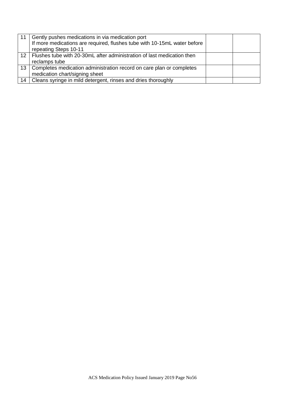| 11              | Gently pushes medications in via medication port<br>If more medications are required, flushes tube with 10-15mL water before<br>repeating Steps 10-11 |  |
|-----------------|-------------------------------------------------------------------------------------------------------------------------------------------------------|--|
| 12 <sup>°</sup> | Flushes tube with 20-30mL after administration of last medication then<br>reclamps tube                                                               |  |
| 13 <sup>°</sup> | Completes medication administration record on care plan or completes<br>medication chart/signing sheet                                                |  |
| 14              | Cleans syringe in mild detergent, rinses and dries thoroughly                                                                                         |  |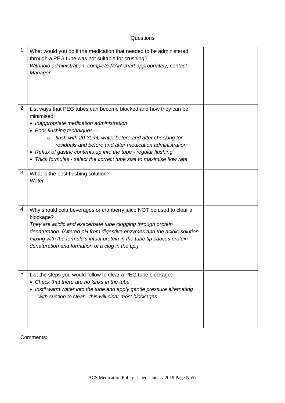#### **Questions**

| 1      | What would you do if the medication that needed to be administered<br>through a PEG tube was not suitable for crushing?<br>Withhold administration, complete MAR chart appropriately, contact<br>Manager                                                                                                                                                                                                                               |  |
|--------|----------------------------------------------------------------------------------------------------------------------------------------------------------------------------------------------------------------------------------------------------------------------------------------------------------------------------------------------------------------------------------------------------------------------------------------|--|
| 2<br>3 | List ways that PEG tubes can become blocked and how they can be<br>minimised:<br>• Inappropriate medication administration<br>• Poor flushing techniques -<br>flush with 20-30mL water before and after checking for<br>$\circ$<br>residuals and before and after medication administration<br>• Reflux of gastric contents up into the tube - regular flushing<br>Thick formulas - select the correct tube size to maximise flow rate |  |
|        | What is the best flushing solution?<br>Water                                                                                                                                                                                                                                                                                                                                                                                           |  |
| 4      | Why should cola beverages or cranberry juice NOT be used to clear a<br>blockage?<br>They are acidic and exacerbate tube clogging through protein<br>denaturation. [Altered pH from digestive enzymes and the acidic solution<br>mixing with the formula's intact protein in the tube tip causes protein<br>denaturation and formation of a clog in the tip.]                                                                           |  |
| 5      | List the steps you would follow to clear a PEG tube blockage:<br>• Check that there are no kinks in the tube<br>• Instil warm water into the tube and apply gentle pressure alternating<br>with suction to clear - this will clear most blockages                                                                                                                                                                                      |  |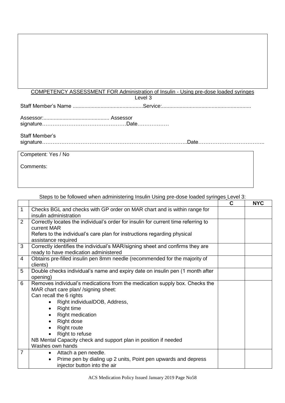#### COMPETENCY ASSESSMENT FOR Administration of Insulin - Using pre-dose loaded syringes

Staff Member's Name ................................................Service:.............................................................

#### Staff Member's

signature………………………………………………………………………..Date………………………………..

Competent: Yes / No

|                | Steps to be followed when administering Insulin Using pre-dose loaded syringes_Level 3:                                                                                                                                                                                                                                                                                                                               |   |            |  |  |
|----------------|-----------------------------------------------------------------------------------------------------------------------------------------------------------------------------------------------------------------------------------------------------------------------------------------------------------------------------------------------------------------------------------------------------------------------|---|------------|--|--|
|                |                                                                                                                                                                                                                                                                                                                                                                                                                       | C | <b>NYC</b> |  |  |
| 1              | Checks BGL and checks with GP order on MAR chart and is within range for<br>insulin administration                                                                                                                                                                                                                                                                                                                    |   |            |  |  |
| 2              | Correctly locates the individual's order for insulin for current time referring to<br>current MAR                                                                                                                                                                                                                                                                                                                     |   |            |  |  |
|                | Refers to the individual's care plan for instructions regarding physical<br>assistance required                                                                                                                                                                                                                                                                                                                       |   |            |  |  |
| 3              | Correctly identifies the individual's MAR/signing sheet and confirms they are<br>ready to have medication administered                                                                                                                                                                                                                                                                                                |   |            |  |  |
| 4              | Obtains pre-filled insulin pen 8mm needle (recommended for the majority of<br>clients)                                                                                                                                                                                                                                                                                                                                |   |            |  |  |
| 5              | Double checks individual's name and expiry date on insulin pen (1 month after<br>opening)                                                                                                                                                                                                                                                                                                                             |   |            |  |  |
| 6              | Removes individual's medications from the medication supply box. Checks the<br>MAR chart care plan//signing sheet:<br>Can recall the 6 rights<br>Right individualDOB, Address,<br>$\bullet$<br><b>Right time</b><br>٠<br><b>Right medication</b><br>٠<br>Right dose<br>٠<br><b>Right route</b><br>Right to refuse<br>$\bullet$<br>NB Mental Capacity check and support plan in position if needed<br>Washes own hands |   |            |  |  |
| $\overline{7}$ | Attach a pen needle.<br>$\bullet$<br>Prime pen by dialing up 2 units, Point pen upwards and depress<br>$\bullet$<br>injector button into the air                                                                                                                                                                                                                                                                      |   |            |  |  |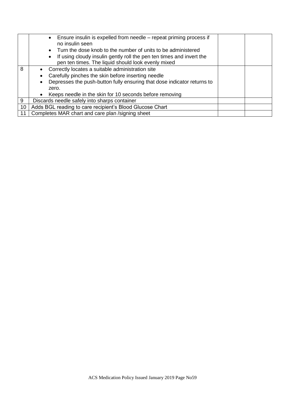|    | • Ensure insulin is expelled from needle – repeat priming process if<br>no insulin seen<br>Turn the dose knob to the number of units to be administered<br>$\bullet$<br>If using cloudy insulin gently roll the pen ten times and invert the<br>$\bullet$<br>pen ten times. The liquid should look evenly mixed |  |
|----|-----------------------------------------------------------------------------------------------------------------------------------------------------------------------------------------------------------------------------------------------------------------------------------------------------------------|--|
| 8  | Correctly locates a suitable administration site<br>Carefully pinches the skin before inserting needle<br>Depresses the push-button fully ensuring that dose indicator returns to<br>zero.<br>Keeps needle in the skin for 10 seconds before removing                                                           |  |
| 9  | Discards needle safely into sharps container                                                                                                                                                                                                                                                                    |  |
| 10 | Adds BGL reading to care recipient's Blood Glucose Chart                                                                                                                                                                                                                                                        |  |
| 11 | Completes MAR chart and care plan /signing sheet                                                                                                                                                                                                                                                                |  |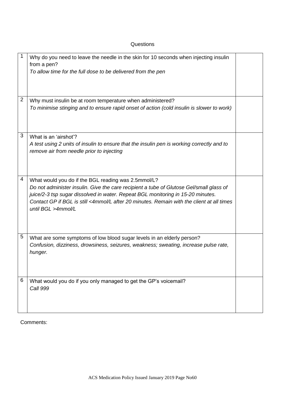#### **Questions**

|   | Why do you need to leave the needle in the skin for 10 seconds when injecting insulin<br>from a pen?<br>To allow time for the full dose to be delivered from the pen                                                                                                                                                                                 |  |
|---|------------------------------------------------------------------------------------------------------------------------------------------------------------------------------------------------------------------------------------------------------------------------------------------------------------------------------------------------------|--|
| 2 | Why must insulin be at room temperature when administered?<br>To minimise stinging and to ensure rapid onset of action (cold insulin is slower to work)                                                                                                                                                                                              |  |
| 3 | What is an 'airshot'?<br>A test using 2 units of insulin to ensure that the insulin pen is working correctly and to<br>remove air from needle prior to injecting                                                                                                                                                                                     |  |
| 4 | What would you do if the BGL reading was 2.5mmol/L?<br>Do not administer insulin. Give the care recipient a tube of Glutose Gel/small glass of<br>juice/2-3 tsp sugar dissolved in water. Repeat BGL monitoring in 15-20 minutes.<br>Contact GP if BGL is still <4mmol/L after 20 minutes. Remain with the client at all times<br>until BGL >4mmol/L |  |
| 5 | What are some symptoms of low blood sugar levels in an elderly person?<br>Confusion, dizziness, drowsiness, seizures, weakness; sweating, increase pulse rate,<br>hunger.                                                                                                                                                                            |  |
| 6 | What would you do if you only managed to get the GP's voicemail?<br>Call 999                                                                                                                                                                                                                                                                         |  |